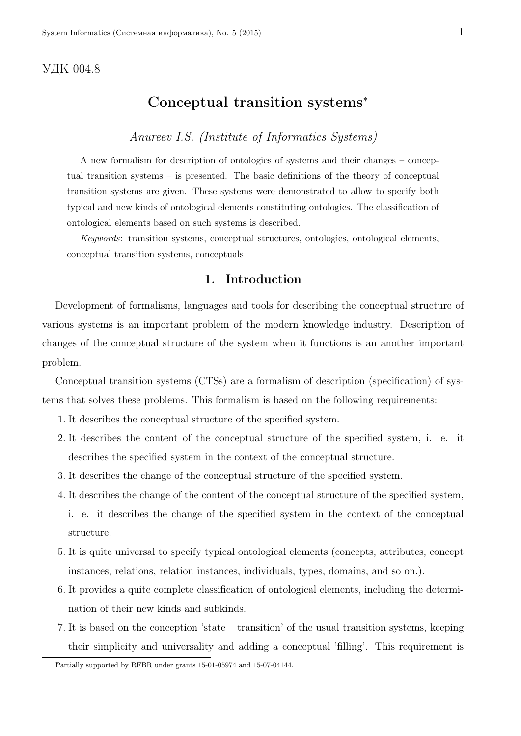### УДК 004.8

### Conceptual transition systems*<sup>∗</sup>*

### *Anureev I.S. (Institute of Informatics Systems)*

A new formalism for description of ontologies of systems and their changes – conceptual transition systems – is presented. The basic definitions of the theory of conceptual transition systems are given. These systems were demonstrated to allow to specify both typical and new kinds of ontological elements constituting ontologies. The classification of ontological elements based on such systems is described.

*Keywords*: transition systems, conceptual structures, ontologies, ontological elements, conceptual transition systems, conceptuals

### 1. Introduction

Development of formalisms, languages and tools for describing the conceptual structure of various systems is an important problem of the modern knowledge industry. Description of changes of the conceptual structure of the system when it functions is an another important problem.

Conceptual transition systems (CTSs) are a formalism of description (specification) of systems that solves these problems. This formalism is based on the following requirements:

- 1. It describes the conceptual structure of the specified system.
- 2. It describes the content of the conceptual structure of the specified system, i. e. it describes the specified system in the context of the conceptual structure.
- 3. It describes the change of the conceptual structure of the specified system.
- 4. It describes the change of the content of the conceptual structure of the specified system, i. e. it describes the change of the specified system in the context of the conceptual structure.
- 5. It is quite universal to specify typical ontological elements (concepts, attributes, concept instances, relations, relation instances, individuals, types, domains, and so on.).
- 6. It provides a quite complete classification of ontological elements, including the determination of their new kinds and subkinds.
- 7. It is based on the conception 'state transition' of the usual transition systems, keeping their simplicity and universality and adding a conceptual 'filling'. This requirement is

*∗*Partially supported by RFBR under grants 15-01-05974 and 15-07-04144.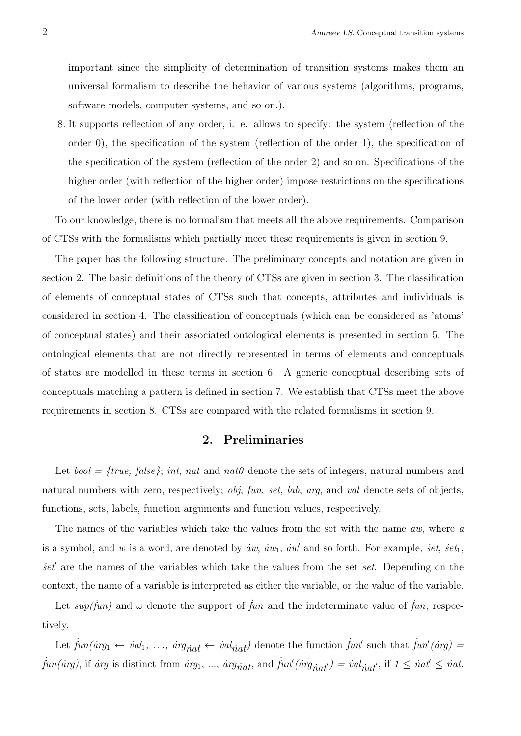important since the simplicity of determination of transition systems makes them an universal formalism to describe the behavior of various systems (algorithms, programs, software models, computer systems, and so on.).

8. It supports reflection of any order, i. e. allows to specify: the system (reflection of the order 0), the specification of the system (reflection of the order 1), the specification of the specification of the system (reflection of the order 2) and so on. Specifications of the higher order (with reflection of the higher order) impose restrictions on the specifications of the lower order (with reflection of the lower order).

To our knowledge, there is no formalism that meets all the above requirements. Comparison of CTSs with the formalisms which partially meet these requirements is given in section 9.

The paper has the following structure. The preliminary concepts and notation are given in section 2. The basic definitions of the theory of CTSs are given in section 3. The classification of elements of conceptual states of CTSs such that concepts, attributes and individuals is considered in section 4. The classification of conceptuals (which can be considered as 'atoms' of conceptual states) and their associated ontological elements is presented in section 5. The ontological elements that are not directly represented in terms of elements and conceptuals of states are modelled in these terms in section 6. A generic conceptual describing sets of conceptuals matching a pattern is defined in section 7. We establish that CTSs meet the above requirements in section 8. CTSs are compared with the related formalisms in section 9.

### 2. Preliminaries

Let *bool = {true, false}*; *int*, *nat* and *nat0* denote the sets of integers, natural numbers and natural numbers with zero, respectively; *obj*, *fun*, *set*, *lab*, *arg*, and *val* denote sets of objects, functions, sets, labels, function arguments and function values, respectively.

The names of the variables which take the values from the set with the name *aw*, where *a* is a symbol, and *w* is a word, are denoted by  $\dot{a}w$ ,  $\dot{a}w_1$ ,  $\dot{a}w'$  and so forth. For example,  $\dot{se}t$ ,  $\dot{se}t_1$ , *˙set′* are the names of the variables which take the values from the set *set*. Depending on the context, the name of a variable is interpreted as either the variable, or the value of the variable.

Let  $sup(\hat{f}un)$  and  $\omega$  denote the support of  $\hat{f}un$  and the indeterminate value of  $\hat{f}un$ , respectively.

Let  $\hat{f}un(\hat{a}rg_1 \leftarrow \hat{v}al_1, \ldots, \hat{a}rg_{\hat{n}at} \leftarrow \hat{v}al_{\hat{n}at}$  denote the function  $\hat{f}un'$  such that  $\hat{f}un'(\hat{a}rg)$  $\hat{f}un(irg)$ , if  $\hat{a}rg$  is distinct from  $\hat{a}rg_1, \dots, \hat{a}rg_{\hat{n}at}$ , and  $\hat{f}un'(arg_{\hat{n}at'}) = \hat{v}al_{\hat{n}at'}$ , if  $1 \leq \hat{n}at' \leq \hat{n}at$ .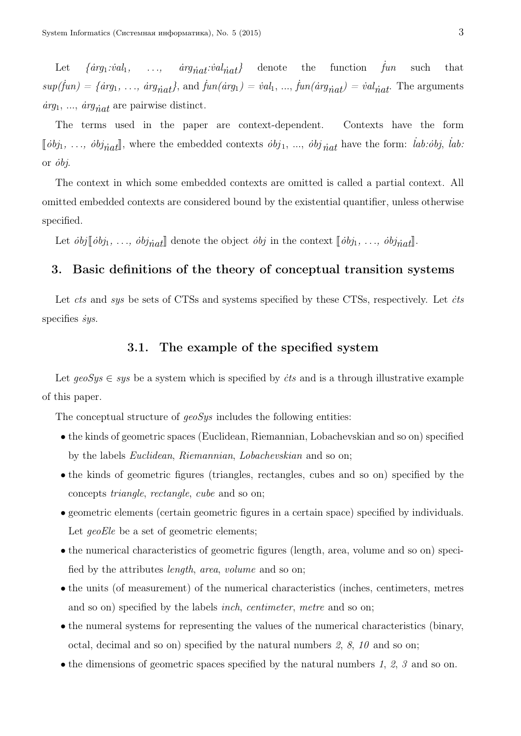Let  $\{arg_1: val_1, \ldots, arg_{\text{init}}: val_{\text{init}}\}$  denote the function  $\hat{f}un$ such that  $sup(jun) = {arg_1, ..., arg_{nat}}$ , and  $\dot{f}un(iarg_1) = \dot{v}al_1, ..., \dot{f}un(iarg_{nat}) = \dot{v}al_{nat}$ . The arguments  $\frac{arg_1}{\ldots}$ ,  $\frac{arg_{\hat{n}at}}{ar}$  are pairwise distinct.

The terms used in the paper are context-dependent. Contexts have the form  $[\![\phi bj_1, \ldots, \phi bj_{\hat{n}at}]\!]$ , where the embedded contexts  $\phi bj_1, \ldots, \phi bj_{\hat{n}at}$  have the form:  $[\![\phi bj_1, \ldots, \phi bj_{\hat{n}at}]\!]$ . or *˙obj*.

The context in which some embedded contexts are omitted is called a partial context. All omitted embedded contexts are considered bound by the existential quantifier, unless otherwise specified.

Let  $\partial b_j \llbracket \partial b_{j1}, \ldots, \partial b_{j} \llbracket \partial b_{j1}, \ldots, \partial b_{j} \llbracket \partial b_{j1}, \ldots, \partial b_{j} \llbracket \partial b_{j1}, \ldots, \partial b_{j} \llbracket \partial b_{j1}, \ldots, \partial b_{j} \llbracket \partial b_{j1}, \ldots, \partial b_{j} \llbracket \partial b_{j1}, \ldots, \partial b_{j} \llbracket \partial b_{j1}, \ldots, \partial b_{j} \llbracket \partial b_{j1}, \ldots, \partial b_{j} \llbracket \partial b_{j1}, \ldots, \partial b_{j} \ll$ 

### 3. Basic definitions of the theory of conceptual transition systems

Let *cts* and *sys* be sets of CTSs and systems specified by these CTSs, respectively. Let *˙cts* specifies *sys*.

### 3.1. The example of the specified system

Let  $q\text{e}oSys \in sys$  be a system which is specified by *its* and is a through illustrative example of this paper.

The conceptual structure of *geoSys* includes the following entities:

- the kinds of geometric spaces (Euclidean, Riemannian, Lobachevskian and so on) specified by the labels *Euclidean*, *Riemannian*, *Lobachevskian* and so on;
- the kinds of geometric figures (triangles, rectangles, cubes and so on) specified by the concepts *triangle*, *rectangle*, *cube* and so on;
- geometric elements (certain geometric figures in a certain space) specified by individuals. Let *geoEle* be a set of geometric elements;
- the numerical characteristics of geometric figures (length, area, volume and so on) specified by the attributes *length*, *area*, *volume* and so on;
- the units (of measurement) of the numerical characteristics (inches, centimeters, metres and so on) specified by the labels *inch*, *centimeter*, *metre* and so on;
- the numeral systems for representing the values of the numerical characteristics (binary, octal, decimal and so on) specified by the natural numbers *2*, *8*, *10* and so on;
- the dimensions of geometric spaces specified by the natural numbers *1*, *2*, *3* and so on.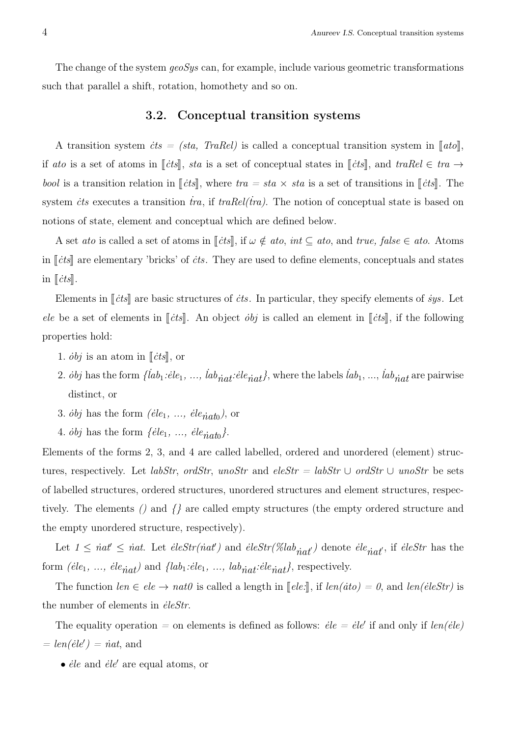The change of the system *geoSys* can, for example, include various geometric transformations such that parallel a shift, rotation, homothety and so on.

### 3.2. Conceptual transition systems

A transition system  $\dot{c}ts = (sta, TraRel)$  is called a conceptual transition system in  $\llbracket ato \rrbracket$ , if *ato* is a set of atoms in  $\lbrack \lbrack \dot{c} \rbrack s \rbrack$ , *sta* is a set of conceptual states in  $\lbrack \lbrack \dot{c} \rbrack s \rbrack$ , and  $traRel \in tra \rightarrow$ *bool* is a transition relation in  $\llbracket \text{cts} \rrbracket$ , where  $\text{tra} = \text{sta} \times \text{sta}$  is a set of transitions in  $\llbracket \text{cts} \rrbracket$ . The system *its* executes a transition *tra*, if *traRel(tra)*. The notion of conceptual state is based on notions of state, element and conceptual which are defined below.

A set *ato* is called a set of atoms in  $[[\dot{c}ts]],$  if  $\omega \notin ato, int \subseteq ato,$  and  $true, false \in ato$ . Atoms in  $\lVert \dot{c} \dot{c} \rVert$  are elementary 'bricks' of *its*. They are used to define elements, conceptuals and states in  $\|\textit{cts}\|$ .

Elements in  $\|\dot{c}\dot{t}\|$  are basic structures of  $\dot{c}\dot{t}s$ . In particular, they specify elements of  $\dot{s}ys$ . Let *ele* be a set of elements in  $\lceil cts \rceil$ . An object *obj* is called an element in  $\lceil cts \rceil$ , if the following properties hold:

- 1.  $\partial bj$  is an atom in  $\lVert \dot{c} \cdot ds \rVert$ , or
- 2. *obj* has the form  $\{lab_1:ele_1, ..., lab_{\hat{n}at}:ele_{\hat{n}at}\}$ , where the labels  $lab_1, ..., lab_{\hat{n}at}$  are pairwise distinct, or
- 3.  $\dot{\textit{obj}}$  has the form  $(\textit{ele}_1, \ldots, \textit{ele}_{\textit{riatb}})$ , or
- 4.  $\dot{\textit{obj}}$  has the form  $\{ \textit{ele}_1, \ldots, \textit{ele}_{\textit{ntab}} \}.$

Elements of the forms 2, 3, and 4 are called labelled, ordered and unordered (element) structures, respectively. Let *labStr*, *ordStr*, *unoStr* and  $eleStr = labStr \cup ordStr \cup unoStr$  be sets of labelled structures, ordered structures, unordered structures and element structures, respectively. The elements *()* and *{}* are called empty structures (the empty ordered structure and the empty unordered structure, respectively).

Let  $1 \leq \textit{nat'} \leq \textit{nat}$ . Let  $\textit{eleStr}(\textit{nat'})$  and  $\textit{eleStr}(\textit{Klab}_{\textit{nat'}})$  denote  $\textit{ele}_{\textit{nat'}}$ , if  $\textit{eleStr}$  has the form  $(\text{e}ile_1, \ldots, \text{e}le_{\text{nat}})$  and  $\{\text{lab}_1 : \text{e}le_1, \ldots, \text{lab}_{\text{nat}} : \text{e}le_{\text{nat}}\}$ , respectively.

The function  $len \in ele \rightarrow nat0$  is called a length in  $\llbracket ele:\rrbracket$ , if  $len(\text{etc}) = 0$ , and  $len(\text{eleStr})$  is the number of elements in *ėleStr*.

The equality operation  $=$  on elements is defined as follows:  $\dot{e}le = \dot{e}le'$  if and only if  $\text{len}(\dot{e}le)$  $= len(\text{\'ele} \ell) = \text{nat},$  and

• *˙ele* and *˙ele′* are equal atoms, or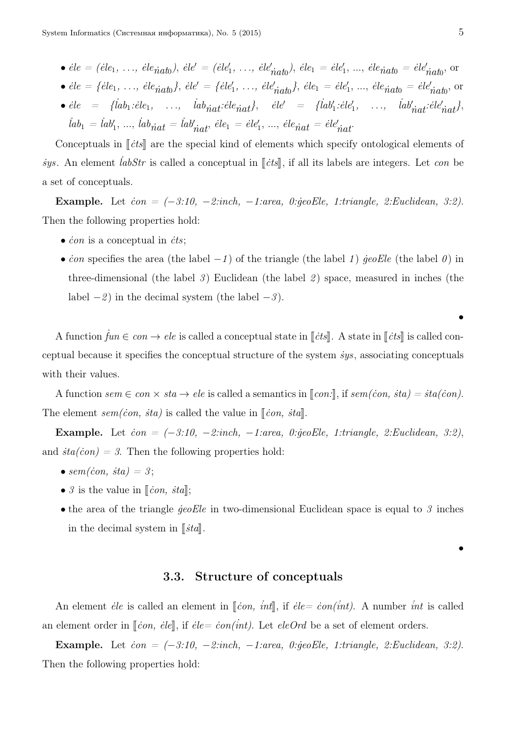• *˙ele = (˙ele*1*, . . ., ˙ele ˙nat*<sup>0</sup> *)*, *˙ele′ = (˙ele′* 1 *, . . ., ˙ele′ ˙nat*<sup>0</sup> *)*, *˙ele*<sup>1</sup> *= ˙ele′* 1 , ..., *˙ele ˙nat*<sup>0</sup> *= ˙ele′ ˙nat*<sup>0</sup> , or

• *˙ele = {˙ele*1*, . . ., ˙ele ˙nat*<sup>0</sup> *}*, *˙ele′ = {˙ele′* 1 *, . . ., ˙ele′ ˙nat*<sup>0</sup> *˙nat*<sup>0</sup> *}*, *˙ele*<sup>1</sup> *= ˙ele′* 1 , ..., *˙ele ˙nat*<sup>0</sup> *= ˙ele′* , or

•  $\dot{e}le$  = { $iab_1:eile_1$ , ...,  $iab_{\dot{n}at} : \dot{e}le_{\dot{n}at}$ },  $\dot{e}le'$  = { $iab'_1 : \dot{e}le'_1$ , ...,  $iab'_{\dot{n}at} : \dot{e}le'_{\dot{n}at}$ },  $iab_1 = iab'_1, ..., \,iab_{\hat nat} = iab'_{\hat nat}, \, \dot e le_1 = \dot e le'_1, \, ..., \, \dot e le_{\hat nat} = \dot e le'_{\hat nat}.$ 

Conceptuals in  $\lbrack \lbrack \dot{c} \rbrack$  are the special kind of elements which specify ontological elements of *sys.* An element *iabStr* is called a conceptual in [*cts*], if all its labels are integers. Let *con* be a set of conceptuals.

Example. Let *˙con = (−3:10, −2:inch, −1:area, 0:˙geoEle, 1:triangle, 2:Euclidean, 3:2)*. Then the following properties hold:

- *˙con* is a conceptual in *˙cts*;
- *˙con* specifies the area (the label *−1* ) of the triangle (the label *1* ) *˙geoEle* (the label *0* ) in three-dimensional (the label *3* ) Euclidean (the label *2* ) space, measured in inches (the label *−2* ) in the decimal system (the label *−3* ).

A function  $\dot{f}un \in con \to ele$  is called a conceptual state in  $[[\dot{c}ts]]$ . A state in  $[[\dot{c}ts]]$  is called conceptual because it specifies the conceptual structure of the system *˙sys*, associating conceptuals with their values.

A function  $sem \in con \times sta \rightarrow ele$  is called a semantics in  $[con!]$ , if  $sem(con, sta) = sta(con)$ . The element  $sem(con, sta)$  is called the value in  $\Vert con, sta \Vert$ .

Example. Let *˙con = (−3:10, −2:inch, −1:area, 0:˙geoEle, 1:triangle, 2:Euclidean, 3:2)*, and  $sta(con) = 3$ . Then the following properties hold:

- $sem(con, sta) = 3;$
- $\mathcal{S}$  is the value in  $\lbrack \lbrack \dot{con}, \dot{sta} \rbrack$ ;
- the area of the triangle *˙geoEle* in two-dimensional Euclidean space is equal to *3* inches in the decimal system in  $\lbrack \lbrack$ *i*ta $\lbrack$ *i*.

*•*

*•*

#### 3.3. Structure of conceptuals

An element *ėle* is called an element in  $\lbrack \lbrack \cos, int \rbrack$ , if  $\dot{e}$  *ie =*  $\dot{e}on(int)$ *.* A number *int* is called an element order in  $\lbrack \lbrack \dot{con}, \dot{e} \rbrack e]$ , if  $\dot{e} \rbrack e = \dot{c} \text{on}( \dot{e} \dot{e} \dot{e})$ . Let  $e \rbrack e \rbrack e \rbrack e \rbrack e$  be a set of element orders.

Example. Let *˙con = (−3:10, −2:inch, −1:area, 0:˙geoEle, 1:triangle, 2:Euclidean, 3:2)*. Then the following properties hold: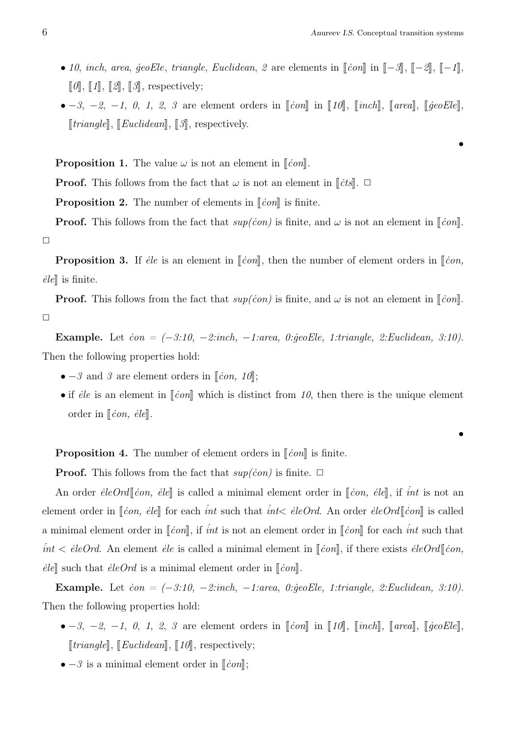*•*

- *10*, *inch*, *area*, *jeoEle*, *triangle*, *Euclidean*, *2* are elements in  $\llbracket \text{con} \rrbracket$  in  $\llbracket -3 \rrbracket$ ,  $\llbracket -2 \rrbracket$ ,  $\llbracket -1 \rrbracket$ ,  $\llbracket \theta \rrbracket$ ,  $\llbracket \textit{1} \rrbracket$ ,  $\llbracket \textit{2} \rrbracket$ ,  $\llbracket \textit{3} \rrbracket$ , respectively;
- *−3*, *−2*, *−1*, *0*, *1*, *2*, *3* are element orders in [*ion*] in [10], [*inch*], [*area*], [*jeoEle*],  $[triangle], [Euclidean], [3],$  respectively.

**Proposition 1.** The value  $\omega$  is not an element in  $\lbrack \lbrack \cos \theta \rbrack$ .

**Proof.** This follows from the fact that  $\omega$  is not an element in  $\lbrack \lbrack \dot{c} \rbrack$ .  $\Box$ 

**Proposition 2.** The number of elements in  $\lbrack \lbrack \text{con} \rbrack$  is finite.

**Proof.** This follows from the fact that  $sup(con)$  is finite, and  $\omega$  is not an element in  $\lceil \n{con} \rceil$ .  $\Box$ 

**Proposition 3.** If *ėle* is an element in  $\lbrack \lbrack \text{con} \rbrack$ , then the number of element orders in  $\lbrack \lbrack \text{con},$  $\ell$ *iel* is finite.

**Proof.** This follows from the fact that  $sup(con)$  is finite, and  $\omega$  is not an element in  $\lceil \n{con} \rceil$ .  $\Box$ 

Example. Let *˙con = (−3:10, −2:inch, −1:area, 0:˙geoEle, 1:triangle, 2:Euclidean, 3:10)*. Then the following properties hold:

- − *3* and *3* are element orders in  $\lbrack \lbrack \dot{con}, 10 \rbrack$ ;
- if *ėle* is an element in  $\lbrack \lbrack \dot{con} \rbrack$  which is distinct from 10, then there is the unique element order in  $\|\dot{c}on, \text{\'ele}\|.$

**Proposition 4.** The number of element orders in  $\lbrack \lbrack \dot{con} \rbrack$  is finite.

**Proof.** This follows from the fact that  $sup(con)$  is finite.  $\Box$ 

An order *ėleOrd* | *con, ėle* | is called a minimal element order in *∣ion, ėle* |, if *int* is not an element order in  $\lbrack \lbrack \dot{con}, \dot{e} \rbrack \rbrack$  for each *int* such that *int* $\lt$  *ieleOrd*. An order  $\dot{e}$ leOrd $\lbrack \lbrack \dot{con} \rbrack$  is called a minimal element order in  $\lbrack \lbrack \dot{con} \rbrack$ , if *int* is not an element order in  $\lbrack \lbrack \dot{con} \rbrack$  for each *int* such that  $int < \text{eleOrd}$ . An element *ėle* is called a minimal element in  $[\![\text{con}]\!]$ , if there exists  $\text{eleOrd}[\![\text{con}],$  $\vec{e}[e]$  such that  $\vec{e}[eO\hat{r}]$  is a minimal element order in  $\lbrack \lbrack \vec{e} \rbrack$ .

Example. Let *˙con = (−3:10, −2:inch, −1:area, 0:˙geoEle, 1:triangle, 2:Euclidean, 3:10)*. Then the following properties hold:

- *−3*, *−2*, *−1*, *0*, *1*, *2*, *3* are element orders in  $\lceil$ *čon* $\rceil$  in  $\lceil$ *10* $\rceil$ ,  $\lceil$ *inch* $\rceil$ ,  $\lceil$ *area* $\rceil$ ,  $\lceil$ *jeoEle* $\rceil$ ,  $\llbracket triangle\rrbracket$ ,  $\llbracket Euclidean\rrbracket$ ,  $\llbracket 10\rrbracket$ , respectively;
- $\bullet$  *−3* is a minimal element order in  $\lceil \mathit{con} \rceil$ ;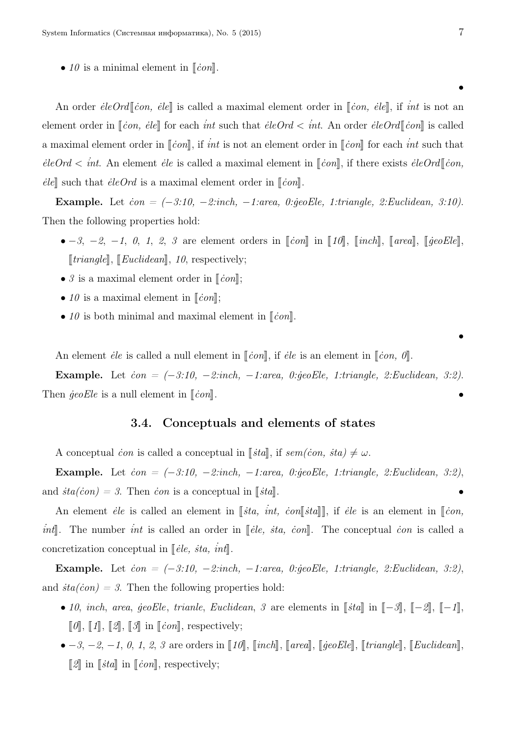•  $10$  is a minimal element in  $\lceil \operatorname{con} \rceil$ .

An order *ėleOrd* | *čon, ėle* | is called a maximal element order in [*čon, ėle*], if *int* is not an element order in  $\lbrack \lbrack \dot{con}, \dot{e} \rbrack$  for each *int* such that  $\dot{e} \cdot \dot{e} \cdot \dot{e} \cdot \dot{e} \cdot \dot{e} \cdot \dot{e} \cdot \dot{e} \cdot \dot{e} \cdot \dot{e} \cdot \dot{e} \cdot \dot{e} \cdot \dot{e} \cdot \dot{e} \cdot \dot{e} \cdot \dot{e} \cdot \dot{e} \cdot \dot{e} \cdot \dot{e} \cdot \dot{e} \cdot \dot{e} \cdot \dot{e} \cdot \dot{e} \$ a maximal element order in  $\lbrack \lbrack \dot{con} \rbrack$ , if *int* is not an element order in  $\lbrack \lbrack \dot{con} \rbrack$  for each *int* such that  $e^{\int eC}$  *int.* An element *ėle* is called a maximal element in  $\lceil \frac{con}{n} \rceil$ , if there exists  $\dot{e} \cdot \text{leOrd} \lceil \frac{con}{n} \rceil$  $\vec{e}$ le<sup> $\parallel$ </sup> such that  $\vec{e}$ le $Ord$  is a maximal element order in  $\lceil \vec{c} \text{on} \rceil$ .

Example. Let *˙con = (−3:10, −2:inch, −1:area, 0:˙geoEle, 1:triangle, 2:Euclidean, 3:10)*. Then the following properties hold:

- *−3*, *−2*, *−1*, *0*, *1*, *2*, *3* are element orders in  $\lceil$ *čon* $\rceil$  in  $\lceil$ *10* $\rceil$ ,  $\lceil$ *inch* $\rceil$ ,  $\lceil$ *area* $\rceil$ ,  $\lceil$ *jeoEle* $\rceil$ ,  $[triangle], [Euclidean], 10, respectively;$
- $\beta$  is a maximal element order in  $\lceil \operatorname{con} \rceil$ ;
- 10 is a maximal element in  $\lbrack \lbrack \dot{con} \rbrack$ ;
- $10$  is both minimal and maximal element in  $\lbrack \lbrack \dot{con} \rbrack$ .

An element *ėle* is called a null element in  $\lbrack \lbrack \dot{con} \rbrack$ , if *ėle* is an element in  $\lbrack \lbrack \dot{con}, \theta \rbrack$ .

Example. Let *˙con = (−3:10, −2:inch, −1:area, 0:˙geoEle, 1:triangle, 2:Euclidean, 3:2)*. Then  $\ddot{q}eoEle$  is a null element in  $\lbrack \!\lbrack \dot{con} \rbrack$ .

### 3.4. Conceptuals and elements of states

A conceptual *˙con* is called a conceptual in <sup>J</sup>*˙sta*K, if *sem(˙con, ˙sta) ̸*<sup>=</sup> *<sup>ω</sup>*.

Example. Let *˙con = (−3:10, −2:inch, −1:area, 0:˙geoEle, 1:triangle, 2:Euclidean, 3:2)*, and  $\dot{sta}(\dot{con}) = 3$ . Then *ion* is a conceptual in  $\lbrack \lbrack \dot{stat} \rbrack$ 

An element *ėle* is called an element in [*sta, int, con*[*sta*]], if *ėle* is an element in [*con*, *int*. The number *int* is called an order in [*ėle, sta, con*]. The conceptual *con* is called a concretization conceptual in *∣↓ele, sta, int*<sup>∤</sup>.

Example. Let *˙con = (−3:10, −2:inch, −1:area, 0:˙geoEle, 1:triangle, 2:Euclidean, 3:2)*, and  $sta(con) = 3$ . Then the following properties hold:

- *10*, *inch*, *area*, *jeoEle*, *trianle*, *Euclidean*, *3* are elements in  $\lceil \frac{1}{2} \rceil$  in  $\lceil -3 \rceil$ ,  $\lceil -2 \rceil$ ,  $\lceil -1 \rceil$ ,  $\llbracket \theta \rrbracket$ ,  $\llbracket \varOmega \rrbracket$ ,  $\llbracket \varOmega \rrbracket$ ,  $\llbracket \varOmega \rrbracket$  in  $\llbracket \text{con} \rrbracket$ , respectively;
- *−3*, *−2*, *−1*, *0*, *1*, *2*, *3* are orders in [10], [inch], [area], [geoEle], [triangle], [Euclidean],  $\llbracket 2\rrbracket$  in  $\llbracket \text{stat} \rrbracket$  in  $\llbracket \text{con} \rrbracket$ , respectively;

*•*

*•*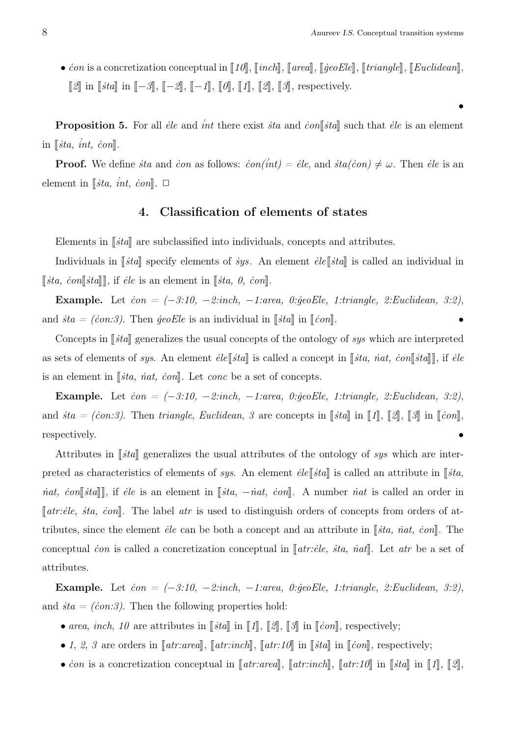•  $\dot{c}$ *on* is a concretization conceptual in  $\llbracket 10 \rrbracket$ ,  $\llbracket \text{incl} \rrbracket$ ,  $\llbracket \text{area} \rrbracket$ ,  $\llbracket \text{geoEle} \rrbracket$ ,  $\llbracket \text{triangle} \rrbracket$ ,  $\llbracket \text{Euclidean} \rrbracket$ , *[2]* in *[sta]* in *[−3]*, *[−2]*, *[−1]*, *[0]*, *[1]*, *[2]*, *[3]*, respectively.

**Proposition 5.** For all *ėle* and *int* there exist *ita* and *con*<sup> $\left[$ *ita* $\right]$  such that *ėle* is an element</sup>  $\text{in } [\text{sta}, \text{int}, \text{con}].$ 

**Proof.** We define *sta* and *ion* as follows:  $\dot{con}(int) = \dot{e}le$ , and  $\dot{sta}(con) \neq \omega$ . Then  $\dot{e}le$  is an element in  $\left[\sin \frac{t}{\sin \theta}, \sin \frac{t}{\sin \theta}\right]$ .  $\Box$ 

### 4. Classification of elements of states

Elements in  $\|\xi t\|$  are subclassified into individuals, concepts and attributes.

Individuals in *∫ita*<sup>*N*</sup> specify elements of *sys*. An element *ėle ista*<sup>*N*</sup> is called an individual in  $\left[\n\begin{bmatrix} \n\dot{s} \n\end{bmatrix}, \n\begin{bmatrix} \n\dot{s} \n\end{bmatrix}, \n\begin{bmatrix} \n\dot{t} \n\end{bmatrix}, \n\begin{bmatrix} \n\dot{\varepsilon} \n\end{bmatrix} \n\begin{bmatrix} \n\dot{\varepsilon} \n\end{bmatrix}$ .  $\dot{\varepsilon} \n\begin{bmatrix} \n\dot{s} \n\end{bmatrix}, \n\begin{bmatrix} \n\dot{s} \n\end{bmatrix}, \n\begin{bmatrix} \n\dot{s} \n\end{bmatrix}, \n\begin{bmatrix} \n\dot{s} \n\end{bmatrix}, \n$ 

Example. Let  $\dot{c}$  *con = (-3:10, -2:inch, -1:area, 0:geoEle, 1:triangle, 2:Euclidean, 3:2)*, and  $\dot{sta} = (con.3)$ . Then  $\dot{geo}Ele$  is an individual in  $\lbrack \lbrack \dot{sta} \rbrack \rbrack$  in  $\lbrack \lbrack \dot{con} \rbrack$ .

Concepts in [*sta*] generalizes the usual concepts of the ontology of *sys* which are interpreted as sets of elements of *sys*. An element  $\vec{e} \in \llbracket \vec{f} \cdot \vec{e} \mid \vec{g} \cdot \vec{e} \land \vec{e} \mid \vec{g} \cdot \vec{e} \land \vec{e} \mid \vec{g} \cdot \vec{e} \land \vec{e} \mid \vec{g} \cdot \vec{e} \land \vec{e} \mid \vec{g} \cdot \vec{e} \land \vec{e} \mid \vec{g} \cdot \vec{e} \land \vec{e} \mid \vec{g} \cdot \vec{e} \land \vec{e} \mid \vec{g} \mid \$ is an element in  $\lbrack \lbrack$ *ista, nat, con* $\lbrack \rbrack$ . Let *conc* be a set of concepts.

Example. Let *˙con = (−3:10, −2:inch, −1:area, 0:˙geoEle, 1:triangle, 2:Euclidean, 3:2)*, and  $sta = (con:3)$ . Then *triangle*, *Euclidean*, 3 are concepts in [*sta*] in [1], [2], [3] in [*con*], respectively.  $\bullet$ 

Attributes in  $\lceil \mathit{stat} \rceil$  generalizes the usual attributes of the ontology of *sys* which are interpreted as characteristics of elements of *sys*. An element  $\dot{e}le \parallel \dot{s}ta \parallel$  is called an attribute in  $\parallel \dot{s}ta$ , *nat, con* [*sta*]|, if *ėle* is an element in [*sta,* −*nat, con*]|. A number *inat* is called an order in  $[$ atr:*ėle, sta, con* $]$ . The label *atr* is used to distinguish orders of concepts from orders of attributes, since the element *ėle* can be both a concept and an attribute in [*ita, iat, con*]. The conceptual *ion* is called a concretization conceptual in  $\llbracket \text{atr:} \text{eile}, \text{sta}, \text{nat} \rrbracket$ . Let  $\text{atr}$  be a set of attributes.

Example. Let *˙con = (−3:10, −2:inch, −1:area, 0:˙geoEle, 1:triangle, 2:Euclidean, 3:2)*, and  $sta = (con:3)$ . Then the following properties hold:

- *area, inch, 10* are attributes in  $\llbracket \xi \xi a \rrbracket$  in  $\llbracket \jmath \rrbracket$ ,  $\llbracket \jmath \rrbracket$ ,  $\llbracket \jmath \rrbracket$  in  $\llbracket \dot{con} \rrbracket$ , respectively;
- *1*, *2*, *3* are orders in  $\llbracket \text{atr: } \text{area} \rrbracket$ ,  $\llbracket \text{atr: } \text{in} \mathbb{R}$ ,  $\llbracket \text{atr: } 10 \rrbracket$  in  $\llbracket \text{tan} \rrbracket$  in  $\llbracket \text{conl}$ , respectively;
- *is* a concretization conceptual in  $\llbracket \mathit{atr} \mathit{.} \mathit{area} \rrbracket$ ,  $\llbracket \mathit{atr} \mathit{.} \mathit{inl} \rrbracket$ ,  $\llbracket \mathit{atr} \mathit{.} \mathit{10} \rrbracket$  in  $\llbracket \mathit{ista} \rrbracket$  in  $\llbracket \mathit{1} \rrbracket$ ,  $\llbracket \mathit{2} \rrbracket$ ,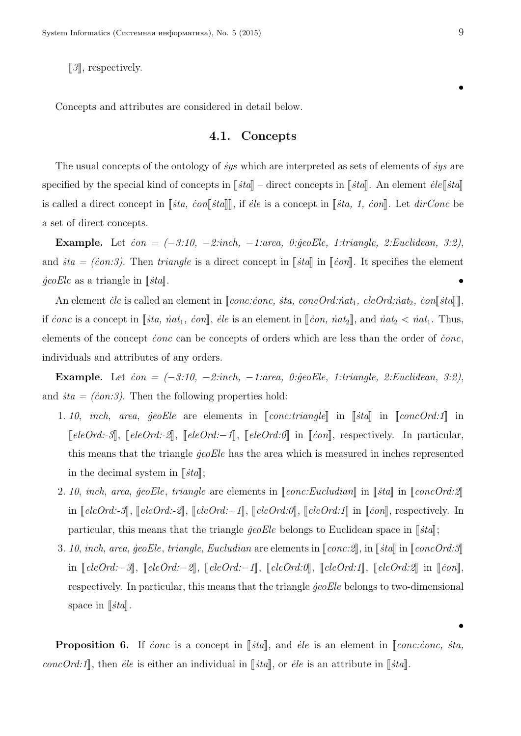*[3]*, respectively.

Concepts and attributes are considered in detail below.

### 4.1. Concepts

The usual concepts of the ontology of *˙sys* which are interpreted as sets of elements of *˙sys* are specified by the special kind of concepts in  $\lceil \frac{3}{4} \rceil$  – direct concepts in  $\lceil \frac{3}{4} \rceil$ . An element  $\vec{e} \cdot \vec{e} \cdot \vec{e} \cdot \vec{e}$ *is called a direct concept in <i>sta, con√sta*<sup>*n*</sup>, *if ele* is a concept in *√<sub>sta</sub>, 1, con*<sup>*n*</sup>. Let *dirConc* be a set of direct concepts.

Example. Let *˙con = (−3:10, −2:inch, −1:area, 0:˙geoEle, 1:triangle, 2:Euclidean, 3:2)*, and  $\dot{a} = (con.3)$ . Then *triangle* is a direct concept in  $\lbrack \lbrack \dot{a} \rbrack \rbrack$  in  $\lbrack \lbrack \dot{con} \rbrack$ . It specifies the element  $\phi$ *eoEle* as a triangle in  $\lceil \phi$ *ita* $\rceil$ .

An element *ėle* is called an element in [*conc:conc, sta, concOrd:nat<sub>1</sub>, eleOrd:nat<sub>2</sub>, con*[*sta*]], if *˙conc* is a concept in <sup>J</sup>*˙sta, ˙nat*1*, ˙con*K, *˙ele* is an element in <sup>J</sup>*˙con, ˙nat*<sup>2</sup>K, and *˙nat*<sup>2</sup> *<sup>&</sup>lt; ˙nat*1. Thus, elements of the concept *˙conc* can be concepts of orders which are less than the order of *˙conc*, individuals and attributes of any orders.

Example. Let *˙con = (−3:10, −2:inch, −1:area, 0:˙geoEle, 1:triangle, 2:Euclidean, 3:2)*, and  $sta = (con:3)$ . Then the following properties hold:

- 1. 10, *inch*, *area*,  $\phi$ *eoEle* are elements in  $\llbracket$ *conc:triangle* $\llbracket$  in  $\llbracket$ *ista* $\llbracket$  in  $\llbracket$ *concOrd:1* $\llbracket$  in *[eleOrd:-3***],** [eleOrd:-2], [eleOrd:−1], [eleOrd:0] in [con], respectively. In particular, this means that the triangle *˙geoEle* has the area which is measured in inches represented in the decimal system in  $\lceil \mathit{sta} \rceil$ ;
- 2. 10, *inch*, *area*,  $\ddot{g}eoE$ le, *triangle* are elements in  $\llbracket cone:Eucludian\rrbracket$  in  $\llbracket \dot{std} \rrbracket$  in  $\llbracket coneOrd:2\rrbracket$ in *[eleOrd:-3*], *[eleOrd:-2*], *[eleOrd:−1*], *[eleOrd:0*], *[eleOrd:1*] in *[con]*, respectively. In particular, this means that the triangle  $\text{geoEle}$  belongs to Euclidean space in  $\llbracket \text{sta} \rrbracket$ ;
- 3. 10, *inch*, *area*,  $\ddot{g}eoEle$ , *triangle*, *Eucludian* are elements in  $\llbracket cone:2\rrbracket$ , in  $\llbracket sta\rrbracket$  in  $\llbracket coneOrd:3\rrbracket$ in  $[eleOrd.-3], [eleOrd.-2], [eleOrd.-1], [eleOrd.-1], [eleOrd.0], [eleOrd.1], [eleOrd.2], in [con],$ respectively. In particular, this means that the triangle *geoEle* belongs to two-dimensional space in  $\lbrack \lbrack$ *ista* $\rbrack$ .

**Proposition 6.** If *conc* is a concept in  $\lceil \mathit{sta} \rceil$ , and *ėle* is an element in  $\lceil \mathit{conc.:ionc, sta.} \rceil$ *concOrd:1*, then *ėle* is either an individual in  $\llbracket sta\rrbracket$ , or *ėle* is an attribute in  $\llbracket sta\rrbracket$ .

*•*

*•*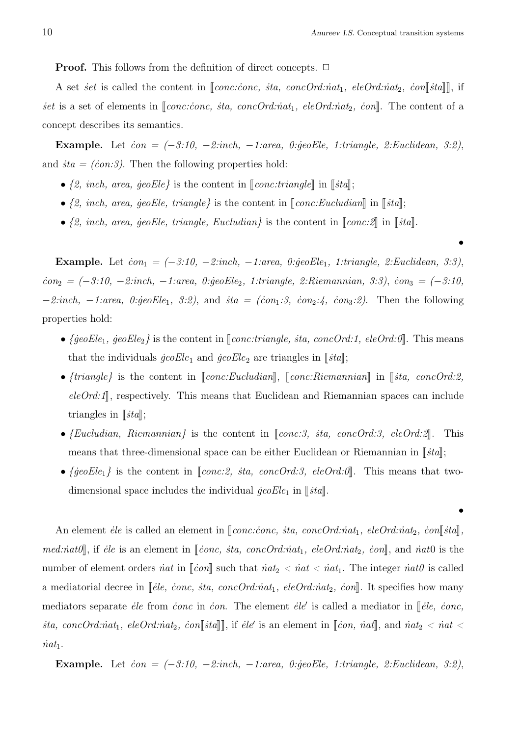*•*

**Proof.** This follows from the definition of direct concepts. □

A set *set* is called the content in  $\llbracket conc.iconc, sta, concOrd.~int_1$ , *eleOrd:nat*<sub>2</sub>, *con* $\llbracket sta \rrbracket$ , if *set* is a set of elements in  $[conc:conc, sta, concOrd:nat_1, eleOrd:nat_2, con].$  The content of a concept describes its semantics.

Example. Let *˙con = (−3:10, −2:inch, −1:area, 0:˙geoEle, 1:triangle, 2:Euclidean, 3:2)*, and  $sta = (con:3)$ . Then the following properties hold:

- $\{2, \text{ inch}, \text{ area}, \text{ geoEle}\}$  is the content in  $\llbracket \text{conc:triangle} \rrbracket$  in  $\llbracket \text{sta} \rrbracket$ ;
- $\{2, \text{ inch}, \text{ area}, \text{ geo} Ele, \text{ triangle}\}$  is the content in  $\llbracket \text{conc:} Eucludian \rrbracket$  in  $\llbracket \text{sta} \rrbracket$ ;
- $\{2, \text{ inch}, \text{ area}, \text{ geoEle}, \text{ triangle}, \text{ Eucluding} \}$  is the content in  $\llbracket \text{conc.} \text{2} \rrbracket$  in  $\llbracket \text{sta} \rrbracket$ .

Example. Let  $\dot{con}_1 = (-3.10, -2.$ inch,  $-1.$ area, 0: $\dot{ge}$ oEle<sub>1</sub>, 1:triangle, 2:Euclidean, 3:3), *˙con*<sup>2</sup> *= (−3:10, −2:inch, −1:area, 0:˙geoEle*2*, 1:triangle, 2:Riemannian, 3:3)*, *˙con*<sup>3</sup> *= (−3:10, −2:inch,* −1:*area,* 0:*geoEle*<sub>1</sub>*,* 3:2), and *ita = (ion*<sub>1</sub>:3, *ion*<sub>2</sub>:4, *ion*<sub>3</sub>:2). Then the following properties hold:

- $\{ \text{geoEle}_1, \text{geoEle}_2 \}$  is the content in  $\llbracket \text{conc.} \text{triangle}, \text{sta}, \text{conc.} \text{Ord.} \text{if } 1, \text{ eleOrd.} \text{if } 0 \llbracket \text{if } 1, \text{if } 1, \text{if } 0 \llbracket \text{if } 1, \text{if } 0 \llbracket \text{if } 1, \text{if } 0 \llbracket \text{if } 1, \text{if } 0 \llbracket \text{if } 1, \text{if } 0 \llbracket \text{if } 1, \text{if } 0$ that the individuals  $\vec{geo} E l e_1$  and  $\vec{geo} E l e_2$  are triangles in  $\lceil \vec{sta} \rceil$ ;
- *{triangle}* is the content in *[conc:Eucludian]*, *[conc:Riemannian]* in *[sta, concOrd:2,*  $eleOrd.1$ , respectively. This means that Euclidean and Riemannian spaces can include triangles in  $\llbracket sta \rrbracket$ ;
- $\{Euclidean, Riemannian\}$  is the content in  $[conc.3, sta, concOrd.3, eleOrd.2].$  This means that three-dimensional space can be either Euclidean or Riemannian in  $\llbracket sta \rrbracket$ ;
- $\{ \text{geoE} \mid \text{le} \text{ote} \}$  is the content in  $\llbracket \text{conc.2}, \text{sta}, \text{conc.} \text{Ord.3}, \text{eleOrd.0}.$  This means that twodimensional space includes the individual  $\text{geoEle}_1$  in  $\llbracket \text{sta} \rrbracket$ .

An element *ėle* is called an element in  $\llbracket conc.iconc, sta, concOrd.~int_1$ , *eleOrd:nat*<sub>2</sub>, *con* $\llbracket sta\rrbracket$ , *med:* $\text{nat0}, \text{if}$  *if <i>ile* is an element in [*ionc, ita, concOrd:nat<sub>1</sub></sub>, eleOrd:nat<sub>2</sub>, <i>con*, and *nat*0 is the number of element orders *inat* in  $\llbracket \text{con} \rrbracket$  such that  $\text{int}_2 < \text{int} < \text{int}_1$ . The integer  $\text{int0}$  is called a mediatorial decree in [*ėle, conc, sta, concOrd:nat<sub>1</sub>, eleOrd:nat<sub>2</sub>, con*]. It specifies how many mediators separate *ėle* from *conc* in *con*. The element *ėle'* is called a mediator in *[ele, conc, ita, concOrd:nat*<sub>1</sub>*, eleOrd:nat*<sub>2</sub>*, con*<sup>[</sup>*sta*]], if *ele'* is an element in [*con, nat*]], and *nat*<sub>2</sub> < *nat* <  $\dot{n}at_1$ .

Example. Let  $\dot{c}$ on =  $(-3.10, -2.$ :inch,  $-1.$ :area, 0: $\dot{q}$ eoEle, 1:triangle, 2:Euclidean, 3:2),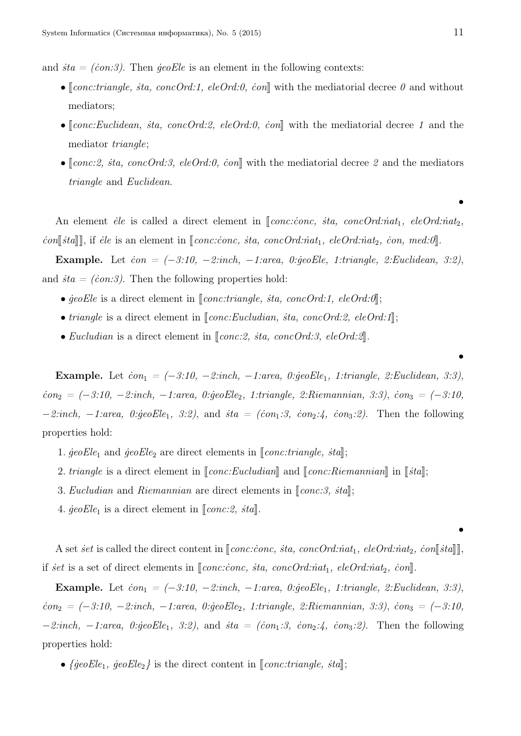and  $\dot{s}ta = (con:3)$ . Then  $\ddot{g}eoEl$ e is an element in the following contexts:

- $\llbracket \text{conc.} \text{triangle,} \text{sta,} \text{conc.} \text{Ord.} \text{1}, \text{eleOrd.} \text{0}, \text{con} \llbracket \text{with the medical decimal degree } \theta \text{ and without }$ mediators;
- $\llbracket cone: Euclidean, sta, concOrd.2, eleOrd.0, con\llbracket with the mediated degree 1 and the$ mediator *triangle*;
- $\lceil \text{conc.2}, \text{sta}, \text{conc.Ord.3}, \text{eleOrd.0}, \text{con} \rceil$  with the mediatorial decree 2 and the mediators *triangle* and *Euclidean*.

An element *ėle* is called a direct element in [*conc:conc, sta, concOrd:nat*<sub>1</sub>*, eleOrd:nat*<sub>2</sub>*, ion*||*sta*|| ||, if *ėle* is an element in || *conc:ionc, sta, concOrd:nat*<sub>1</sub>*, eleOrd:nat*<sub>2</sub>*, con, med:0* ||.

Example. Let *˙con = (−3:10, −2:inch, −1:area, 0:˙geoEle, 1:triangle, 2:Euclidean, 3:2)*, and  $\dot{sta} = (con:3)$ . Then the following properties hold:

- $\phi$ *ieoEle* is a direct element in  $\phi$ *[conc:triangle, sta, concOrd:1, eleOrd:0*];
- *triangle* is a direct element in  $\llbracket cone:Eucludian, sta, concOrd:2, eleOrd:1\rrbracket;$
- *Eucludian* is a direct element in  $[conc.2, sta, concOrd.3, eleOrd.2].$

**Example.** Let  $\dot{con}_1 = (-3.10, -2.$ inch,  $-1.$ area, 0: $\dot{ge}$ oEle<sub>1</sub>, 1:triangle, 2:Euclidean, 3:3), *˙con*<sup>2</sup> *= (−3:10, −2:inch, −1:area, 0:˙geoEle*2*, 1:triangle, 2:Riemannian, 3:3)*, *˙con*<sup>3</sup> *= (−3:10, −2:inch,* −1:area, 0:*geoEle*<sub>1</sub>, 3:2), and *ita = (ion*<sub>1</sub>:3, *ion*<sub>2</sub>:4, *ion*<sub>3</sub>:2). Then the following properties hold:

- 1.  $\text{geoEle}_1$  and  $\text{geoEle}_2$  are direct elements in  $\llbracket \text{conc.} \text{triangle}, \text{sta} \rrbracket$ ;
- 2. *triangle* is a direct element in  $\llbracket conc:Eucludian \rrbracket$  and  $\llbracket conc:Riemannian \rrbracket$  in  $\llbracket sta \rrbracket$ ;
- 3. *Eucludian* and *Riemannian* are direct elements in  $\llbracket cone:3, sta\rrbracket$ ;
- 4.  $\text{geoEle}_1$  is a direct element in  $\llbracket \text{conc.2}, \text{sta} \rrbracket$ .

A set *set* is called the direct content in  $\llbracket conc:cone, sta, concOrd:nat_1, eleOrd:nat_2, con\llbracket sta \rrbracket,$ *if set* is a set of direct elements in *<i>[conc:conc, sta, concOrd:nat<sub>1</sub></sub>, eleOrd:nat<sub>2</sub>, con<i>*.

Example. Let  $\dot{con}_1 = (-3.10, -2.$ inch,  $-1.$ area, 0: $\dot{ge}$ oEle<sub>1</sub>, 1:triangle, 2:Euclidean, 3:3), *˙con*<sup>2</sup> *= (−3:10, −2:inch, −1:area, 0:˙geoEle*2*, 1:triangle, 2:Riemannian, 3:3)*, *˙con*<sup>3</sup> *= (−3:10, −2:inch,* −1:*area,* 0:*geoEle*<sub>1</sub>*,* 3:2), and *ita = (ion*<sub>1</sub>:3, *ion*<sub>2</sub>:4, *ion*<sub>3</sub>:2). Then the following properties hold:

•  ${ \{ \text{geoEle}_1, \text{ geoEle}_2 \} }$  is the direct content in  ${ \lceil \text{conc.} \text{triangle}, \text{ sta} \rceil }$ ;

*•*

*•*

*•*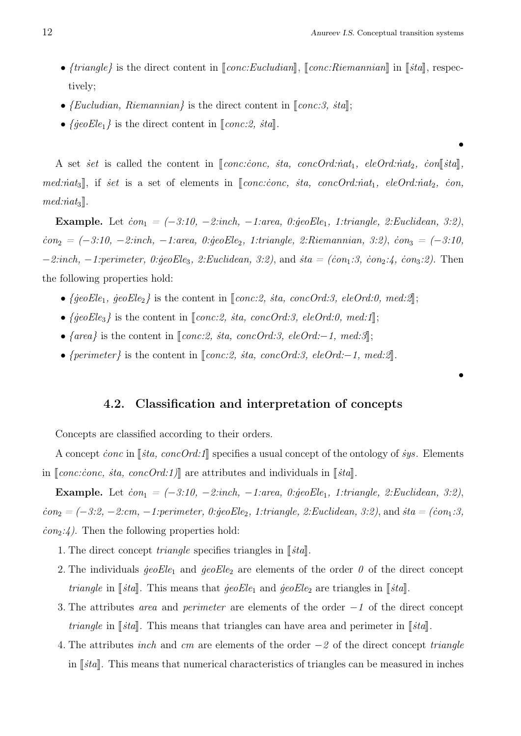*•*

- $\{triangle\}$  is the direct content in  $\llbracket conc:Euclidean \rrbracket$ ,  $\llbracket conc:Riemannian \rrbracket$  in  $\llbracket sta \rrbracket$ , respectively;
- $\{Euclidean, Riemannian\}$  is the direct content in  $\llbracket cone:3, sta\rrbracket;$
- $\{ \text{geoEle}_1 \}$  is the direct content in  $\llbracket \text{conc.2, sta} \rrbracket$ .

A set *set* is called the content in  $\llbracket conc:conc, sta, concOrd.int_1$ ,  $eleOrd.int_2$ ,  $con\llbracket sta\rrbracket$ , *med:nat*<sub>3</sub>, if *set* is a set of elements in *[conc:conc, sta, concOrd:nat*<sub>1</sub>*, eleOrd:nat*<sub>2</sub>*, con,*  $med:nat_3$ ].

Example. Let  $\dot{con}_1 = (-3.10, -2.$ inch,  $-1.$ area, 0: $\dot{geo}Ele_1$ , 1:triangle, 2:Euclidean, 3:2), *˙con*<sup>2</sup> *= (−3:10, −2:inch, −1:area, 0:˙geoEle*2*, 1:triangle, 2:Riemannian, 3:2)*, *˙con*<sup>3</sup> *= (−3:10, −2:inch,* −1:perimeter, 0:geoEle<sub>3</sub>, 2:Euclidean, 3:2), and *ita = (ion*<sub>1</sub>:3, *ion*<sub>2</sub>:4, *ion*<sub>3</sub>:2). Then the following properties hold:

- $\{ \text{geoEle}_1, \text{geoEle}_2 \}$  is the content in  $\llbracket \text{conc.2}, \text{sta}, \text{conc.Ord.3}, \text{eleOrd.0}, \text{med.2} \rrbracket$ ;
- $\{ \text{geoEle}_3 \}$  is the content in  $\llbracket \text{conc.2, sta, concOrd.3, eleOrd.0, med.1} \rrbracket$ ;
- *{area}* is the content in *[conc:2, sta, concOrd:3, eleOrd:−1, med:3]*;
- *{perimeter}* is the content in *[conc:2, sta, concOrd:3, eleOrd:−1, med:2]*

### 4.2. Classification and interpretation of concepts

Concepts are classified according to their orders.

A concept *conc* in [*sta, concOrd:1*] specifies a usual concept of the ontology of *sys*. Elements in  $\llbracket conc.iconc, sta, concOrd.1]\rrbracket$  are attributes and individuals in  $\llbracket sta\rrbracket$ .

Example. Let  $\dot{con}_1 = (-3.10, -2.$ inch,  $-1.$ area, 0: $\dot{ge}$  $Ele_1$ , 1:triangle, 2:Euclidean, 3:2),  $\dot{con}_2 = (-3.2, -2cm, -1:perimeter, 0: \text{geo} E l e_2, 1: \text{triangle}, 2:Euclidean, 3:2),$  and  $\dot{a} = (\dot{con}_1.3, -1.2)$ *˙con*2*:4)*. Then the following properties hold:

- 1. The direct concept *triangle* specifies triangles in  $\lceil \frac{3}{4} \rceil$ .
- 2. The individuals  $\text{geoEle}_1$  and  $\text{geoEle}_2$  are elements of the order  $\theta$  of the direct concept *triangle* in  $\lceil \frac{3}{4} \rceil$ . This means that  $\frac{3}{4}$  *i*eo  $\frac{3}{4}$  and  $\frac{3}{4}$  *ieo*  $\frac{3}{4}$  are triangles in  $\lceil \frac{3}{4} \rceil$ .
- 3. The attributes *area* and *perimeter* are elements of the order *−1* of the direct concept *triangle* in  $\lceil \frac{3}{4} \rceil$ . This means that triangles can have area and perimeter in  $\lceil \frac{3}{4} \rceil$ .
- 4. The attributes *inch* and *cm* are elements of the order *−2* of the direct concept *triangle* in  $\lceil \frac{stat}{\ldots} \rceil$ . This means that numerical characteristics of triangles can be measured in inches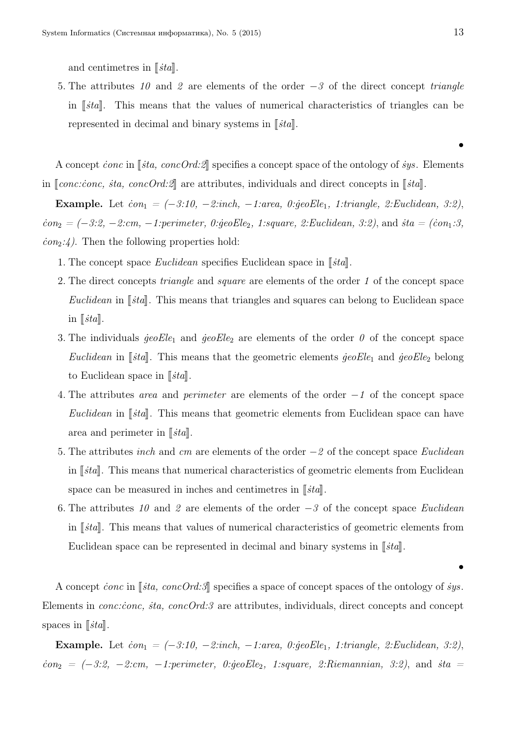and centimetres in [*sta*].

5. The attributes *10* and *2* are elements of the order *−3* of the direct concept *triangle* in [*sta*]. This means that the values of numerical characteristics of triangles can be represented in decimal and binary systems in  $\|\dot{t}a\|$ .

A concept *conc* in *∣⋅sta, concOrd:2*| specifies a concept space of the ontology of *sys*. Elements in  $\llbracket conc: conc, sta, concOrd:2\rrbracket$  are attributes, individuals and direct concepts in  $\llbracket sta\rrbracket$ .

**Example.** Let  $\dot{con}_1 = (-3.10, -2. \text{inch}, -1. \text{area}, 0. \text{geoEle}_1, 1. \text{triangle}, 2. \text{Euclidean}, 3.2)$ *i*<sub>c</sub>*on*<sub>2</sub> = (−3:2, −2:cm, −1:perimeter, 0:geoEle<sub>2</sub>, 1:square, 2:Euclidean, 3:2), and *i*ta = (*i*<sup>on</sup><sub>1</sub>:3, *˙con*2*:4)*. Then the following properties hold:

- 1. The concept space *Euclidean* specifies Euclidean space in [*sta*].
- 2. The direct concepts *triangle* and *square* are elements of the order *1* of the concept space *Euclidean* in [*sta*]. This means that triangles and squares can belong to Euclidean space in  $\llbracket sta\rrbracket$ .
- 3. The individuals  $\text{geoEle}_1$  and  $\text{geoEle}_2$  are elements of the order  $\theta$  of the concept space *Euclidean* in [ $\delta t$ <sup>*i*</sup>]. This means that the geometric elements  $\dot{g}eoEle_1$  and  $\dot{g}eoEle_2$  belong to Euclidean space in [*sta*].
- 4. The attributes *area* and *perimeter* are elements of the order *−1* of the concept space *Euclidean* in [*sta*]. This means that geometric elements from Euclidean space can have area and perimeter in [*sta*].
- 5. The attributes *inch* and *cm* are elements of the order *−2* of the concept space *Euclidean* in  $\|\textit{sta}\|$ *.* This means that numerical characteristics of geometric elements from Euclidean space can be measured in inches and centimetres in  $\|\dot{t}a\|$ .
- 6. The attributes *10* and *2* are elements of the order *−3* of the concept space *Euclidean* in [*ita*]. This means that values of numerical characteristics of geometric elements from Euclidean space can be represented in decimal and binary systems in  $\|\xi t\|$ .

A concept *conc* in [*sta, concOrd:3*] specifies a space of concept spaces of the ontology of *sys.* Elements in *conc:conc, sta, concOrd:3* are attributes, individuals, direct concepts and concept spaces in  $\lbrack \mathit{sta} \rbrack$ .

**Example.** Let  $\dot{con}_1 = (-3.10, -2. \text{inch}, -1. \text{area}, 0. \text{geoEle}_1, 1. \text{triangle}, 2. \text{Euclidean}, 3.2)$ *˙con*<sup>2</sup> *= (−3:2, −2:cm, −1:perimeter, 0:˙geoEle*2*, 1:square, 2:Riemannian, 3:2)*, and *˙sta =*

*•*

*•*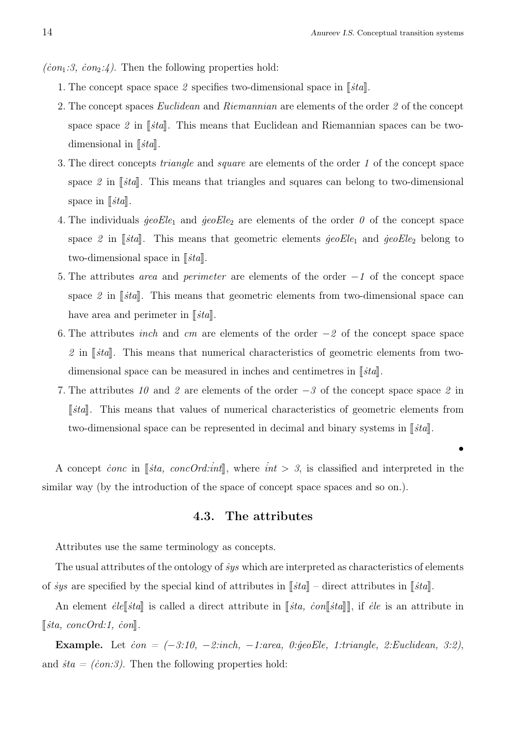$\langle con_1:3, con_2:4 \rangle$ . Then the following properties hold:

- 1. The concept space space 2 specifies two-dimensional space in  $\lceil \mathit{sta} \rceil$ .
- 2. The concept spaces *Euclidean* and *Riemannian* are elements of the order *2* of the concept space space  $2$  in  $\lceil \frac{3}{4}t \cdot \frac{3}{4} \rceil$ . This means that Euclidean and Riemannian spaces can be twodimensional in  $\lbrack \lbrack$ *ista* $\lbrack$ *i*.
- 3. The direct concepts *triangle* and *square* are elements of the order *1* of the concept space space 2 in  $\lceil \frac{1}{3}ta \rceil$ . This means that triangles and squares can belong to two-dimensional space in  $\left[\phi_{\text{}t}t_a\right]$ .
- 4. The individuals  $\text{geoEle}_1$  and  $\text{geoEle}_2$  are elements of the order  $\theta$  of the concept space space 2 in  $\lceil \frac{3}{4} \rceil$ . This means that geometric elements  $\frac{3}{4}$  *ieoEle*<sub>1</sub> and  $\frac{3}{4}$  *ieoEle*<sub>2</sub> belong to two-dimensional space in [*sta*].
- 5. The attributes *area* and *perimeter* are elements of the order *−1* of the concept space space 2 in  $\lceil \frac{1}{sta} \rceil$ . This means that geometric elements from two-dimensional space can have area and perimeter in [*sta*].
- 6. The attributes *inch* and *cm* are elements of the order *−2* of the concept space space 2 in  $\lceil \eta \rceil$  *i*<sup>sta</sup>. This means that numerical characteristics of geometric elements from twodimensional space can be measured in inches and centimetres in  $\lceil \mathit{sta} \rceil$ .
- 7. The attributes *10* and *2* are elements of the order *−3* of the concept space space *2* in *Ista*. This means that values of numerical characteristics of geometric elements from two-dimensional space can be represented in decimal and binary systems in  $\|\ddot{t}a\|$ .

A concept *conc* in [*sta, concOrd:int*], where  $int > 3$ , is classified and interpreted in the similar way (by the introduction of the space of concept space spaces and so on.).

### 4.3. The attributes

Attributes use the same terminology as concepts.

The usual attributes of the ontology of *˙sys* which are interpreted as characteristics of elements of *sys* are specified by the special kind of attributes in  $[[\text{std}]$  – direct attributes in  $[[\text{std}]$ .

An element *ėle*<sup>[</sup>*ista*] is called a direct attribute in [*sta, con*[*sta*]], if *ėle* is an attribute in  $\left[\begin{smallmatrix} \textit{sta}, \textit{concOrd:1}, \textit{con}\end{smallmatrix}\right]$ .

Example. Let *˙con = (−3:10, −2:inch, −1:area, 0:˙geoEle, 1:triangle, 2:Euclidean, 3:2)*, and  $sta = (con:3)$ . Then the following properties hold: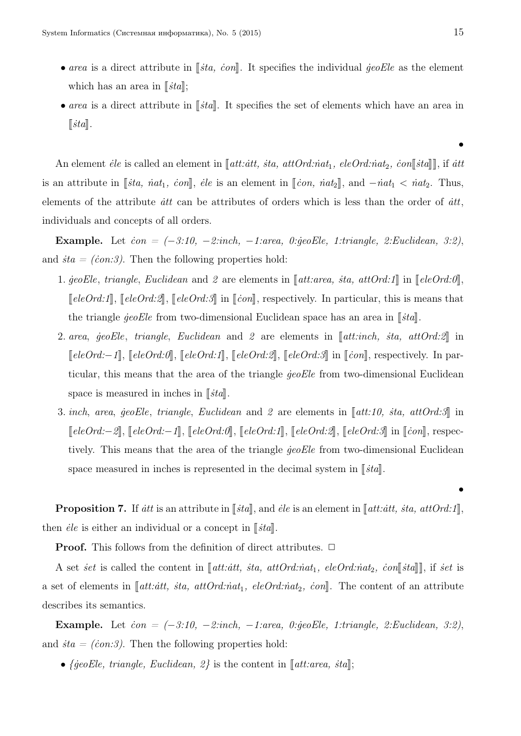- *area* is a direct attribute in [*sta, con*]. It specifies the individual *geoEle* as the element which has an area in  $\lbrack \lbrack$ *i*stall;
- *area* is a direct attribute in  $\lceil \frac{3}{4} \rceil$ . It specifies the set of elements which have an area in  $\|sta\|.$

An element *ėle* is called an element in  $\llbracket att: att, sta, attOrd:int_1, eleOrd:nat_2, con\llbracket stat \rrbracket$ , if *att* is an attribute in  $[[\textit{sta}, \textit{nat}_1, \textit{con}]], \textit{ele}$  is an element in  $[[\textit{con}, \textit{nat}_2]],$  and  $-\textit{nat}_1 < \textit{nat}_2$ . Thus, elements of the attribute *itt* can be attributes of orders which is less than the order of *itt*, individuals and concepts of all orders.

Example. Let *˙con = (−3:10, −2:inch, −1:area, 0:˙geoEle, 1:triangle, 2:Euclidean, 3:2)*, and  $\dot{a} = (\dot{c}on.3)$ . Then the following properties hold:

- 1.  $\text{geoEle}, \text{triangle}, \text{Euclidean} \text{ and } 2 \text{ are elements in } [\text{att:area}, \text{ sta}, \text{attOrd:1}] \text{ in } [\text{eleOrd:0}],$  $\n *TeleOrd:1*, \n *TeleOrd:2*, \n *TeleOrd:3* \n *in* \n *[(con]*, \n *respectively. In particular, this is means that*$ the triangle *geoEle* from two-dimensional Euclidean space has an area in [*sta*].
- 2. *area*, *geoEle*, *triangle*, *Euclidean* and 2 are elements in [att:inch, *sta, attOrd:2*] in *[eleOrd:−1*], [eleOrd:0], [eleOrd:1], [eleOrd:2], [eleOrd:3] in [con], respectively. In particular, this means that the area of the triangle *˙geoEle* from two-dimensional Euclidean space is measured in inches in  $\lbrack \lbrack$ *i*ta $\lbrack$ *i*.
- 3. *inch*, *area*, *geoEle*, *triangle*, *Euclidean* and 2 are elements in  $\llbracket att:10, sta, attOrd:3\rrbracket$  in <sup>J</sup>*eleOrd:−2*K, <sup>J</sup>*eleOrd:−1*K, <sup>J</sup>*eleOrd:0*K, <sup>J</sup>*eleOrd:1*K, <sup>J</sup>*eleOrd:2*K, <sup>J</sup>*eleOrd:3*<sup>K</sup> in <sup>J</sup>*˙con*K, respectively. This means that the area of the triangle *jeoEle* from two-dimensional Euclidean space measured in inches is represented in the decimal system in  $\|\dot{t}a\|$ .

**Proposition 7.** If *itt* is an attribute in  $\left[\phi$ *ista*, and *ėle* is an element in  $\left[\phi$ *att:itt, ita, attOrd:1*, then *ėle* is either an individual or a concept in  $\lceil \mathit{sta} \rceil$ .

**Proof.** This follows from the definition of direct attributes. □

A set *set* is called the content in  $\llbracket$ att: $\dot{a}tt$ , *sta, attOrd:nat*<sub>1</sub>*, eleOrd:nat*<sub>2</sub>*, con* $\llbracket$ *sta* $\rrbracket$ *,* if *set* is a set of elements in  $\llbracket$ *att:att, sta, attOrd:nat<sub>1</sub>, eleOrd:nat<sub>2</sub>, <i>con* $\llbracket$ . The content of an attribute describes its semantics.

Example. Let *˙con = (−3:10, −2:inch, −1:area, 0:˙geoEle, 1:triangle, 2:Euclidean, 3:2)*, and  $\dot{sta} = (con.3)$ . Then the following properties hold:

•  ${geoEle, triangle, Euclidean, 2}$  is the content in  $[$ *att:area, ita* $]$ ;

*•*

*•*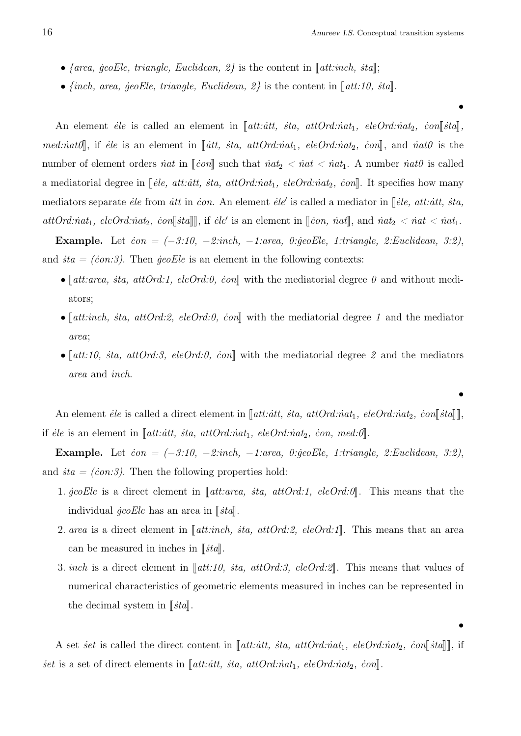*•*

*•*

- *{area, geoEle, triangle, Euclidean, 2}* is the content in  $[$ *att:inch, sta* $];$
- $\{inch, area, \, geoEle, \, triangle, \, Euclidean, \, 2\}$  is the content in  $\llbracket att: 10, \, sta \rrbracket$

An element *ėle* is called an element in  $\llbracket att: att, sta, attOrd:nat<sub>1</sub>, eleOrd:nat<sub>2</sub>, con $\llbracket stat\rrbracket$$ *med:˙nat0*K, if *˙ele* is an element in <sup>J</sup> *˙att, ˙sta, attOrd:˙nat*1*, eleOrd:˙nat*2*, ˙con*K, and *˙nat0* is the number of element orders *inat* in  $\llbracket \text{con} \rrbracket$  such that  $\text{int}_2 < \text{int} < \text{int}_1$ . A number  $\text{int0}$  is called a mediatorial degree in  $\llbracket \text{ele}, \text{att:att}, \text{sta}, \text{attOrd:nat}_1, \text{eleOrd:nat}_2, \text{con} \rrbracket$ . It specifies how many mediators separate *ėle* from *ått* in *ċon*. An element *ėle'* is called a mediator in [*ėle, att: àtt, sta,*  $\alpha$ *ttOrd:* $\dot{n}at_1$ *, eleOrd:* $\dot{n}at_2$ *,*  $\dot{con}$  $\llbracket \dot{s}ta \rrbracket$ *, if <i>ėle'* is an element in  $\llbracket \dot{con}$ ,  $\dot{n}at \rrbracket$ , and  $\dot{n}at_2 < \dot{n}at < \dot{n}at_1$ .

Example. Let *˙con = (−3:10, −2:inch, −1:area, 0:˙geoEle, 1:triangle, 2:Euclidean, 3:2)*, and  $\dot{a} = (con.3)$ . Then  $\dot{q}eoEle$  is an element in the following contexts:

- $[$ *att:area, sta, attOrd:1, eleOrd:0, con*|| with the mediatorial degree  $\theta$  and without mediators;
- $[$ att:inch, *sta, attOrd:2, eleOrd:0, con*, with the mediatorial degree *1* and the mediator *area*;
- $\lceil \det(10, \text{sta}, \text{attOrd.3}, \text{eleOrd.0}, \text{con} \rceil \rceil)$  with the mediatorial degree 2 and the mediators *area* and *inch*.

An element *ėle* is called a direct element in  $\Vert$ att:*att, sta, attOrd:nat*<sub>1</sub>*, eleOrd:nat*<sub>2</sub>*, con* $\Vert$ *sta* $\Vert$ , if *ėle* is an element in  $\llbracket \text{att:} \text{att}, \text{sta}, \text{attOrd:} \text{nat}_1, \text{eleOrd:} \text{nat}_2, \text{con}, \text{med:0} \rrbracket.$ 

Example. Let *˙con = (−3:10, −2:inch, −1:area, 0:˙geoEle, 1:triangle, 2:Euclidean, 3:2)*, and  $\dot{sta} = (con.3)$ . Then the following properties hold:

- 1. *jeoEle* is a direct element in [att:area, *sta, attOrd:1, eleOrd:0*]. This means that the **individual**  $\text{geoEle}$  has an area in *√ista*<sup>*†*</sup>.
- 2. *area* is a direct element in  $[\text{att.} \text{inch}, \text{sta}, \text{attOrd.} 2, \text{eleOrd.} 1].$  This means that an area can be measured in inches in  $\lbrack \lbrack$ *i*ta $\lbrack$ *i*.
- 3. *inch* is a direct element in  $\llbracket att: 10, sta, attOrd:3, eleOrd:2\rrbracket$ . This means that values of numerical characteristics of geometric elements measured in inches can be represented in the decimal system in [*sta*].

A set *set* is called the direct content in  $\llbracket$ att: $\dot{a}tt$ ,  $\dot{s}ta$ ,  $attOrd:int_1$ ,  $eleOrd:int_2$ ,  $\dot{co}n\llbracket \dot{s}ta \rrbracket$ , if *set* is a set of direct elements in [*att:att, sta, attOrd:nat<sub>1</sub></sub>, eleOrd:nat<sub>2</sub>, <i>con*]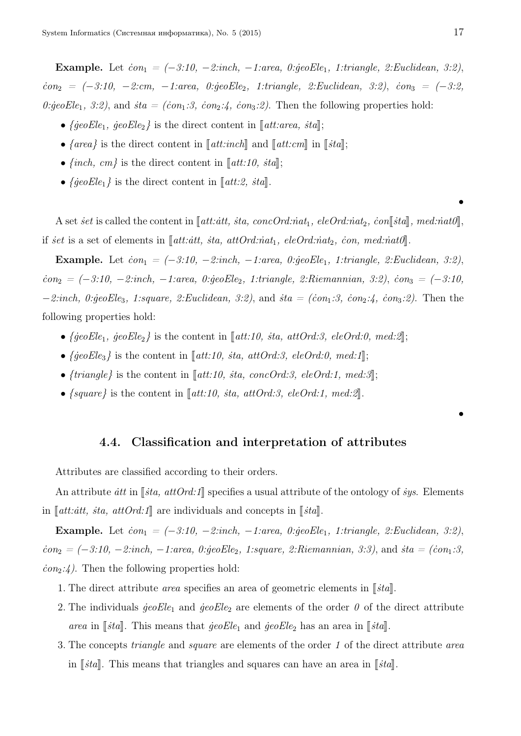Example. Let  $\dot{con}_1 = (-3.10, -2.$ inch,  $-1.$ area, 0: $\dot{ge}$ oEle<sub>1</sub>, 1:triangle, 2:Euclidean, 3:2), *˙con*<sup>2</sup> *= (−3:10, −2:cm, −1:area, 0:˙geoEle*2*, 1:triangle, 2:Euclidean, 3:2)*, *˙con*<sup>3</sup> *= (−3:2, 0:geoEle*<sub>1</sub>, 3:2), and *sta* = (*con*<sub>1</sub>:3, *con*<sub>2</sub>:4, *con*<sub>3</sub>:2). Then the following properties hold:

- $\{ \text{geoEle}_1, \text{geoEle}_2 \}$  is the direct content in  $\llbracket \text{att:area}, \text{sta} \rrbracket;$
- $\{area\}$  is the direct content in  $\llbracket att: inch \rrbracket$  and  $\llbracket att:cm \rrbracket$  in  $\llbracket stat \rrbracket$ ;
- $\{inch, cm\}$  is the direct content in  $\llbracket att: 10, sta \rrbracket;$
- $\{ \text{geoEle}_1 \}$  is the direct content in [att:2, *sta*].

A set *set* is called the content in  $\llbracket$  att: $\dot{a}tt$ ,  $\dot{s}ta$ ,  $\dot{c}oncOrd.\dot{r}at_1$ ,  $\dot{e}leOrd.\dot{r}at_2$ ,  $\dot{c}on\llbracket \dot{s}ta \rrbracket$ ,  $\textit{med}.\dot{r}at0 \rrbracket$ , *if set* is a set of elements in  $\llbracket$  *att:att, sta, attOrd:nat*<sub>1</sub>*, eleOrd:nat*<sub>2</sub>*, con, med:nat0* $\llbracket$ .

Example. Let  $\dot{con}_1 = (-3.10, -2.$ inch,  $-1.$ area, 0: $\dot{geo}Ele_1$ , 1:triangle, 2:Euclidean, 3:2), *˙con*<sup>2</sup> *= (−3:10, −2:inch, −1:area, 0:˙geoEle*2*, 1:triangle, 2:Riemannian, 3:2)*, *˙con*<sup>3</sup> *= (−3:10, −2:inch, 0:geoEle<sub>3</sub>, 1:square, 2:Euclidean, 3:2), and <i>ita = (ion*<sub>1</sub>:3, *ion*<sub>2</sub>:4, *ion*<sub>3</sub>:2). Then the following properties hold:

- $\{ \text{geoEle}_1, \text{geoEle}_2 \}$  is the content in  $\llbracket \text{att:10, sta, attOrd:3, eleOrd:0, med:2} \rrbracket$ ;
- $\{ \text{geoEle}_3 \}$  is the content in  $\llbracket \text{att:10, sta, attOrd:3, eleOrd:0, med:1} \rrbracket$ ;
- $\{triangle\}$  is the content in [att:10, *sta, concOrd:3, eleOrd:1, med:3*];
- $\{square\}$  is the content in  $\llbracket att: 10, sta, attOrd:3, eleOrd:1, med:2\rrbracket$ .

#### 4.4. Classification and interpretation of attributes

Attributes are classified according to their orders.

An attribute *itt* in [*ista, attOrd:1*] specifies a usual attribute of the ontology of *sys*. Elements in  $\llbracket$ *att:att, ita, attOrd:1* $\llbracket$  are individuals and concepts in  $\llbracket$ *ita* $\llbracket$ .

Example. Let  $\dot{con}_1 = (-3.10, -2.$ inch,  $-1.$ area, 0: $\dot{ge}$ *eEle*<sub>1</sub>, 1:triangle, 2:Euclidean, 3:2), *˙con*<sup>2</sup> *= (−3:10, −2:inch, −1:area, 0:˙geoEle*2*, 1:square, 2:Riemannian, 3:3)*, and *˙sta = (˙con*1*:3,*  $\langle \text{con}_2:4 \rangle$ . Then the following properties hold:

- 1. The direct attribute *area* specifies an area of geometric elements in  $\left[\mathit{stat}\right]$ .
- 2. The individuals  $\text{geoEle}_1$  and  $\text{geoEle}_2$  are elements of the order  $\theta$  of the direct attribute *area* in  $\lceil \dot{sta} \rceil$ . This means that  $\dot{geo} E l e_1$  and  $\dot{geo} E l e_2$  has an area in  $\lceil \dot{sta} \rceil$ .
- 3. The concepts *triangle* and *square* are elements of the order *1* of the direct attribute *area* in  $\lceil \int |s \cdot s| \rceil$ . This means that triangles and squares can have an area in  $\lceil \int |s \cdot s| \rceil$ .

*•*

*•*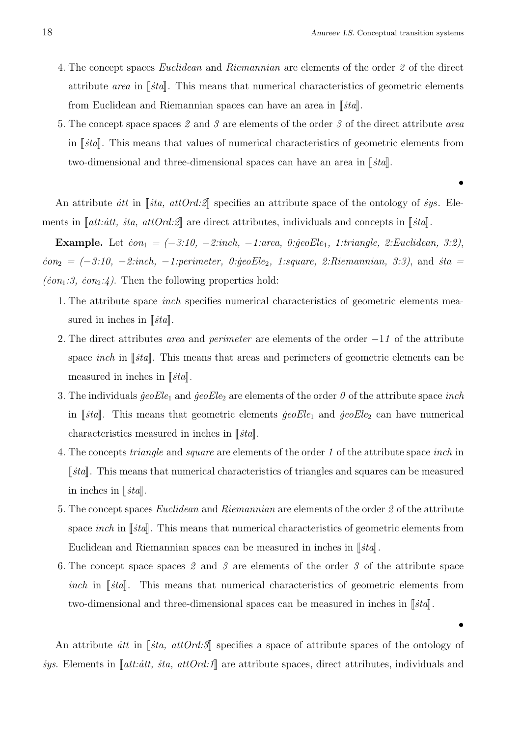*•*

- 4. The concept spaces *Euclidean* and *Riemannian* are elements of the order *2* of the direct attribute *area* in  $\lceil \frac{3}{5}t \cdot a \rceil$ . This means that numerical characteristics of geometric elements from Euclidean and Riemannian spaces can have an area in [*sta*].
- 5. The concept space spaces *2* and *3* are elements of the order *3* of the direct attribute *area* in *[sta]*. This means that values of numerical characteristics of geometric elements from two-dimensional and three-dimensional spaces can have an area in [*sta*].

An attribute *itt* in  $\lceil \frac{1}{3}t \cdot a, \frac{atOrd \cdot \mathcal{D}}{at \cdot \mathcal{D}} \rceil$  specifies an attribute space of the ontology of *sys*. Elements in  $\llbracket$ *att:att, ita, attOrd:2* $\llbracket$  are direct attributes, individuals and concepts in  $\llbracket$ *ita* $\llbracket$ *.* 

**Example.** Let  $\dot{con}_1 = (-3.10, -2.$ inch,  $-1.$ area, 0: $\dot{ge}$ oEle<sub>1</sub>, 1:triangle, 2:Euclidean, 3:2), *i*<sub>c</sub>*on*<sub>2</sub> = (−3:10, −2:inch, −1:perimeter, 0:geoEle<sub>2</sub>, 1:square, 2:Riemannian, 3:3), and *i*ta =  $\left(\dot{c}on_1:\mathcal{F},\dot{c}on_2:\mathcal{L}\right)$ . Then the following properties hold:

- 1. The attribute space *inch* specifies numerical characteristics of geometric elements measured in inches in  $\lceil \mathit{sta} \rceil$ .
- 2. The direct attributes *area* and *perimeter* are elements of the order *−*1*1* of the attribute space *inch* in [*sta*]. This means that areas and perimeters of geometric elements can be measured in inches in  $\lbrack \lbrack$ *i*ta $\lbrack$ *i*.
- 3. The individuals *˙geoEle*<sup>1</sup> and *˙geoEle*<sup>2</sup> are elements of the order *0* of the attribute space *inch* in *[sta]*. This means that geometric elements *geoEle*<sub>1</sub> and *geoEle*<sub>2</sub> can have numerical characteristics measured in inches in  $\lceil \mathit{sta} \rceil$ .
- 4. The concepts *triangle* and *square* are elements of the order *1* of the attribute space *inch* in *Ista*. This means that numerical characteristics of triangles and squares can be measured in inches in  $\lbrack \mathit{S}ta \rbrack$ .
- 5. The concept spaces *Euclidean* and *Riemannian* are elements of the order *2* of the attribute space *inch* in  $\lceil \frac{3}{4} \rceil$ . This means that numerical characteristics of geometric elements from Euclidean and Riemannian spaces can be measured in inches in  $\|\xi t\|$ .
- 6. The concept space spaces *2* and *3* are elements of the order *3* of the attribute space *inch* in [*sta*]. This means that numerical characteristics of geometric elements from two-dimensional and three-dimensional spaces can be measured in inches in  $\|\textit{sta}\|$ .

An attribute *att* in [*sta, attOrd:3*] specifies a space of attribute spaces of the ontology of *sys.* Elements in  $\llbracket$  att:*att, sta, attOrd:1* $\llbracket$  are attribute spaces, direct attributes, individuals and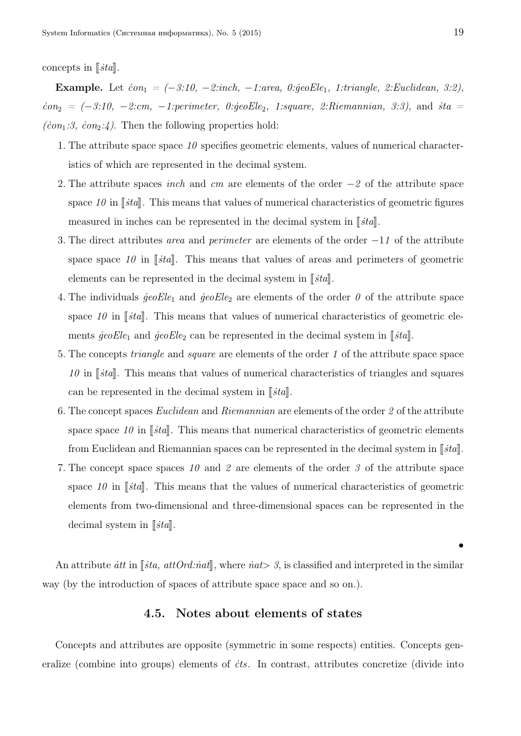#### concepts in  $\|\n$ *ita* $\|$ .

Example. Let  $\dot{con}_1 = (-3.10, -2.$ inch,  $-1.$ area, 0: $\dot{ge}$ oEle<sub>1</sub>, 1:triangle, 2:Euclidean, 3:2), *˙con*<sup>2</sup> *= (−3:10, −2:cm, −1:perimeter, 0:˙geoEle*2*, 1:square, 2:Riemannian, 3:3)*, and *˙sta =*  $\left(\dot{c}on_1:\mathcal{F},\dot{c}on_2:\mathcal{L}\right)$ . Then the following properties hold:

- 1. The attribute space space *10* specifies geometric elements, values of numerical characteristics of which are represented in the decimal system.
- 2. The attribute spaces *inch* and *cm* are elements of the order *−2* of the attribute space space  $10$  in  $\lceil \frac{1}{3}t \cdot \frac{1}{3} \rceil$ . This means that values of numerical characteristics of geometric figures measured in inches can be represented in the decimal system in  $\lceil \mathit{sta} \rceil$ .
- 3. The direct attributes *area* and *perimeter* are elements of the order *−*1*1* of the attribute space space  $10$  in  $\left[\frac{3}{10}\right]$ . This means that values of areas and perimeters of geometric elements can be represented in the decimal system in  $\|\dot{t}a\|$ .
- 4. The individuals  $\text{geo}Ele_1$  and  $\text{geo}Ele_2$  are elements of the order  $\theta$  of the attribute space space 10 in  $\left[\phi \right]$ . This means that values of numerical characteristics of geometric elements  $\ddot{g}eoEle_1$  and  $\ddot{g}eoEle_2$  can be represented in the decimal system in  $\lceil \dot{t}a \rceil$ .
- 5. The concepts *triangle* and *square* are elements of the order *1* of the attribute space space  $10$  in  $\lceil \eta \rceil$  *j*<sub>sta</sub>. This means that values of numerical characteristics of triangles and squares can be represented in the decimal system in  $\lceil \mathit{sta} \rceil$ .
- 6. The concept spaces *Euclidean* and *Riemannian* are elements of the order *2* of the attribute space space  $10$  in  $\left[\dot{g}ta\right]$ . This means that numerical characteristics of geometric elements from Euclidean and Riemannian spaces can be represented in the decimal system in [*sta*].
- 7. The concept space spaces *10* and *2* are elements of the order *3* of the attribute space space 10 in  $\left[\phi \right]$ . This means that the values of numerical characteristics of geometric elements from two-dimensional and three-dimensional spaces can be represented in the decimal system in [*sta*].

An attribute *itt* in  $\left[\sin \frac{t}{\pi}a, \frac{atOrd\sin \pi}{\pi}a, \sin \frac{t}{\pi}b\right]$ , where  $\sinh 2\theta$ , is classified and interpreted in the similar way (by the introduction of spaces of attribute space space and so on.).

### 4.5. Notes about elements of states

Concepts and attributes are opposite (symmetric in some respects) entities. Concepts generalize (combine into groups) elements of *˙cts*. In contrast, attributes concretize (divide into

*•*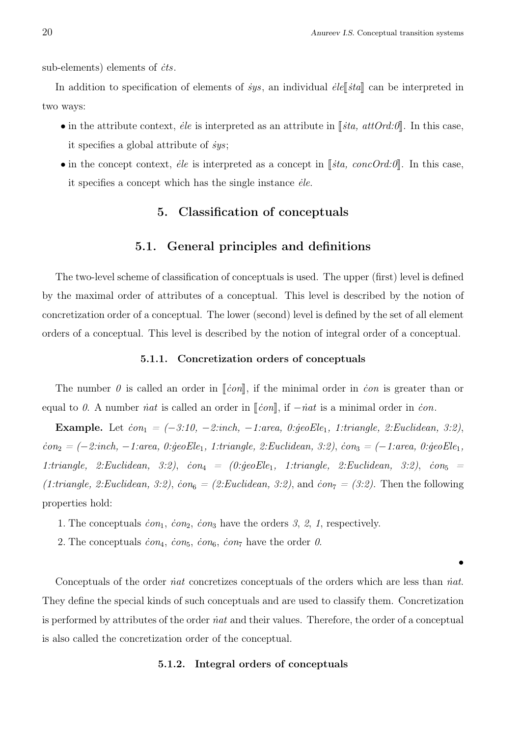sub-elements) elements of *cts*.

In addition to specification of elements of  $\dot{s}ys$ , an individual  $\dot{e}le \, \parallel \dot{s}ta \, \parallel$  can be interpreted in two ways:

- in the attribute context, *ėle* is interpreted as an attribute in  $\|\textit{sta}, \textit{atOrd.0}\|$ . In this case, it specifies a global attribute of *˙sys*;
- in the concept context, *ėle* is interpreted as a concept in *[sta, concOrd:0*]. In this case, it specifies a concept which has the single instance *˙ele*.

### 5. Classification of conceptuals

### 5.1. General principles and definitions

The two-level scheme of classification of conceptuals is used. The upper (first) level is defined by the maximal order of attributes of a conceptual. This level is described by the notion of concretization order of a conceptual. The lower (second) level is defined by the set of all element orders of a conceptual. This level is described by the notion of integral order of a conceptual.

#### 5.1.1. Concretization orders of conceptuals

The number  $\theta$  is called an order in  $\lceil \mathit{con} \rceil$ , if the minimal order in *ion* is greater than or equal to 0. A number *inat* is called an order in  $\lbrack \lbrack \dot{con} \rbrack$ , if  $- \dot{n}at$  is a minimal order in *con*.

Example. Let  $\dot{con}_1 = (-3.10, -2.$ inch,  $-1.$ area, 0: $\dot{ge}$ *oEle*<sub>1</sub>, 1:triangle, 2:Euclidean, 3:2), *˙con*<sup>2</sup> *= (−2:inch, −1:area, 0:˙geoEle*1*, 1:triangle, 2:Euclidean, 3:2)*, *˙con*<sup>3</sup> *= (−1:area, 0:˙geoEle*1*,*  $1:triangle, 2:Euclidean, 3:2$ ,  $\dot{c}on_4 = (0:geoEle_1, 1:triangle, 2:Euclidean, 3:2)$ ,  $\dot{c}on_5 =$  $(1:triangle, 2:Euclidean, 3:2), \text{con}_6 = (2:Euclidean, 3:2), \text{and } \text{con}_7 = (3:2).$  Then the following properties hold:

- 1. The conceptuals  $\dot{c}on_1$ ,  $\dot{c}on_2$ ,  $\dot{c}on_3$  have the orders 3, 2, 1, respectively.
- 2. The conceptuals  $\dot{c}on_4$ ,  $\dot{c}on_5$ ,  $\dot{c}on_6$ ,  $\dot{c}on_7$  have the order 0.

Conceptuals of the order *˙nat* concretizes conceptuals of the orders which are less than *˙nat*. They define the special kinds of such conceptuals and are used to classify them. Concretization is performed by attributes of the order *˙nat* and their values. Therefore, the order of a conceptual is also called the concretization order of the conceptual.

#### 5.1.2. Integral orders of conceptuals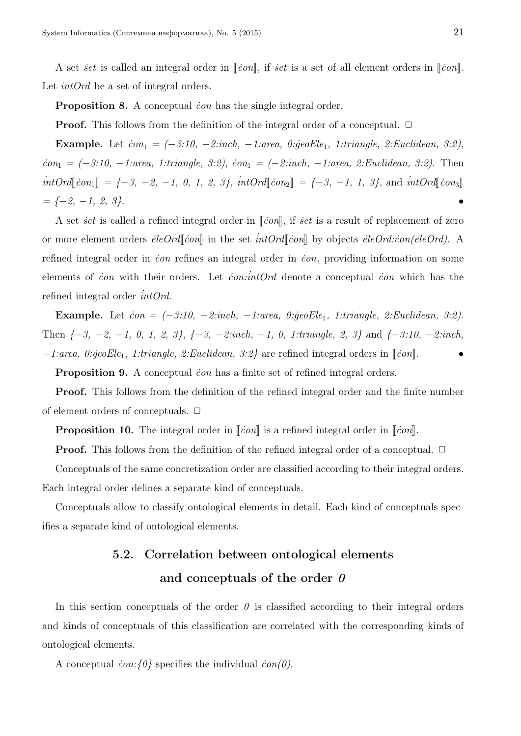A set *set* is called an integral order in  $\lbrack \lbrack \dot{con} \rbrack$ , if *set* is a set of all element orders in  $\lbrack \lbrack \dot{con} \rbrack$ . Let *intOrd* be a set of integral orders.

Proposition 8. A conceptual *˙con* has the single integral order.

**Proof.** This follows from the definition of the integral order of a conceptual. □

Example. Let *˙con*<sup>1</sup> *= (−3:10, −2:inch, −1:area, 0:˙geoEle*1*, 1:triangle, 2:Euclidean, 3:2)*, *˙con*<sup>1</sup> *= (−3:10, −1:area, 1:triangle, 3:2)*, *˙con*<sup>1</sup> *= (−2:inch, −1:area, 2:Euclidean, 3:2)*. Then  $intOrd[\![con_1]\!] = {-3, -2, -1, 0, 1, 2, 3}, intOrd[\![con_2]\!] = {-3, -1, 1, 3}, and intOrd[\![con_3]\!]$ *= {−2, −1, 2, 3}*. *•*

A set *set* is called a refined integral order in *√icon*<sup>λ</sup>, if *set* is a result of replacement of zero or more element orders  $\vec{e} \leq \vec{e} \leq \vec{e}$  in the set  $\vec{e} \leq \vec{e} \leq \vec{e}$  by objects  $\vec{e} \leq \vec{e} \leq \vec{e} \leq \vec{e} \leq \vec{e}$ . refined integral order in *˙con* refines an integral order in *˙con*, providing information on some elements of *˙con* with their orders. Let *˙con:˙intOrd* denote a conceptual *˙con* which has the refined integral order *˙intOrd*.

Example. Let  $\dot{c}$  *con = (* $-3:10$ ,  $-2:inch$ ,  $-1:area$ , 0: $\dot{g}$  *eoEle*<sub>1</sub>, 1:triangle, 2:Euclidean, 3:2). Then *{−3, −2, −1, 0, 1, 2, 3}*, *{−3, −2:inch, −1, 0, 1:triangle, 2, 3}* and *{−3:10, −2:inch, −1:area, 0:* $\text{geoE}$ *le<sub>1</sub>, 1:triangle, 2:Euclidean, 3:2}* are refined integral orders in [*ion*].

**Proposition 9.** A conceptual *con* has a finite set of refined integral orders.

Proof. This follows from the definition of the refined integral order and the finite number of element orders of conceptuals.  $\Box$ 

**Proposition 10.** The integral order in  $\lceil \frac{1}{2} \rceil$  is a refined integral order in  $\lceil \frac{1}{2} \rceil$ .

**Proof.** This follows from the definition of the refined integral order of a conceptual. □

Conceptuals of the same concretization order are classified according to their integral orders. Each integral order defines a separate kind of conceptuals.

Conceptuals allow to classify ontological elements in detail. Each kind of conceptuals specifies a separate kind of ontological elements.

# 5.2. Correlation between ontological elements and conceptuals of the order *0*

In this section conceptuals of the order  $\theta$  is classified according to their integral orders and kinds of conceptuals of this classification are correlated with the corresponding kinds of ontological elements.

A conceptual *˙con:{0}* specifies the individual *˙con(0)*.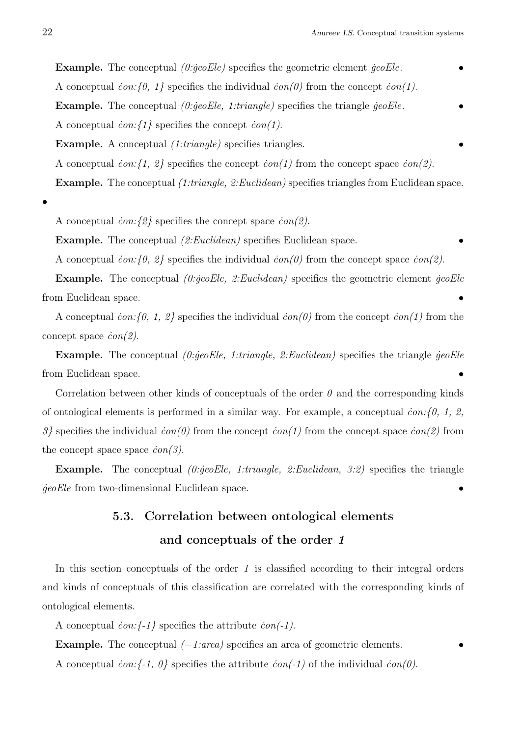Example. The conceptual *(0:* $\text{q}eeE$ *le)* specifies the geometric element  $\text{q}eeE$ *le*. A conceptual *˙con:{0, 1}* specifies the individual *˙con(0)* from the concept *˙con(1)*. Example. The conceptual *(0:geoEle, 1:triangle)* specifies the triangle *geoEle*. A conceptual *˙con:{1}* specifies the concept *˙con(1)*. Example. A conceptual *(1:triangle)* specifies triangles. A conceptual *˙con:{1, 2}* specifies the concept *˙con(1)* from the concept space *˙con(2)*. Example. The conceptual *(1:triangle, 2:Euclidean)* specifies triangles from Euclidean space.

*•*

A conceptual *˙con:{2}* specifies the concept space *˙con(2)*.

Example. The conceptual *(2:Euclidean)* specifies Euclidean space.

A conceptual *˙con:{0, 2}* specifies the individual *˙con(0)* from the concept space *˙con(2)*.

Example. The conceptual *(0:* $\text{q}eoE$ *le, 2:Euclidean)* specifies the geometric element  $\text{q}eoE$ le from Euclidean space. *•*

A conceptual *˙con:{0, 1, 2}* specifies the individual *˙con(0)* from the concept *˙con(1)* from the concept space *˙con(2)*.

Example. The conceptual *(0:geoEle, 1:triangle, 2:Euclidean)* specifies the triangle *geoEle* from Euclidean space. *•*

Correlation between other kinds of conceptuals of the order *0* and the corresponding kinds of ontological elements is performed in a similar way. For example, a conceptual *˙con:{0, 1, 2, 3}* specifies the individual *˙con(0)* from the concept *˙con(1)* from the concept space *˙con(2)* from the concept space space *˙con(3)*.

Example. The conceptual *(0:qeoEle, 1:triangle, 2:Euclidean, 3:2)* specifies the triangle *˙geoEle* from two-dimensional Euclidean space. *•*

# 5.3. Correlation between ontological elements and conceptuals of the order *1*

In this section conceptuals of the order 1 is classified according to their integral orders and kinds of conceptuals of this classification are correlated with the corresponding kinds of ontological elements.

A conceptual *˙con:{-1}* specifies the attribute *˙con(-1)*.

Example. The conceptual *(−1:area)* specifies an area of geometric elements. *•*

A conceptual *˙con:{-1, 0}* specifies the attribute *˙con(-1)* of the individual *˙con(0)*.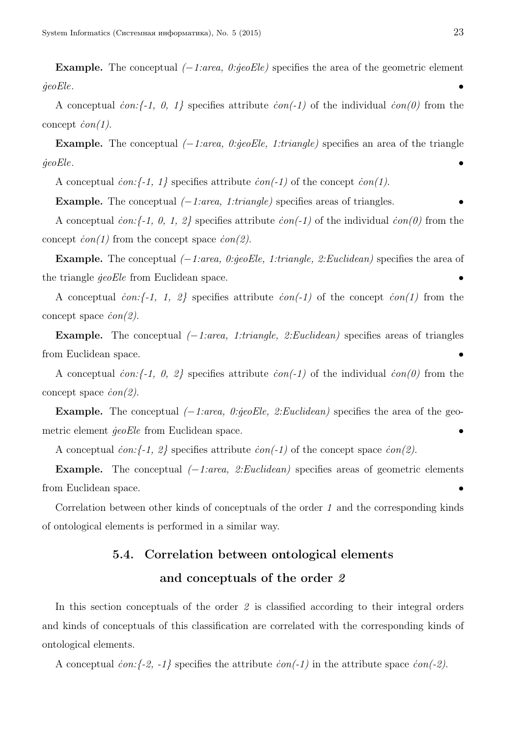Example. The conceptual *(−1:area, 0:˙geoEle)* specifies the area of the geometric element *˙geoEle*. *•*

A conceptual  $\text{con} \{-1, 0, 1\}$  specifies attribute  $\text{con}(-1)$  of the individual  $\text{con}(0)$  from the concept  $\dot{c}on(1)$ .

Example. The conceptual *(−1:area, 0:qeoEle, 1:triangle)* specifies an area of the triangle *˙geoEle*. *•*

A conceptual  $\text{con:} \{-1, 1\}$  specifies attribute  $\text{con}(-1)$  of the concept  $\text{con}(1)$ .

Example. The conceptual *(−1:area, 1:triangle)* specifies areas of triangles. *•*

A conceptual *˙con:{-1, 0, 1, 2}* specifies attribute *˙con(-1)* of the individual *˙con(0)* from the concept  $\dot{c}on(1)$  from the concept space  $\dot{c}on(2)$ .

Example. The conceptual *(−1:area, 0:˙geoEle, 1:triangle, 2:Euclidean)* specifies the area of the triangle *qeoEle* from Euclidean space.

A conceptual *˙con:{-1, 1, 2}* specifies attribute *˙con(-1)* of the concept *˙con(1)* from the concept space *˙con(2)*.

Example. The conceptual *(−1:area, 1:triangle, 2:Euclidean)* specifies areas of triangles from Euclidean space. *•*

A conceptual *˙con:{-1, 0, 2}* specifies attribute *˙con(-1)* of the individual *˙con(0)* from the concept space *˙con(2)*.

Example. The conceptual *(−1:area, 0:geoEle, 2:Euclidean)* specifies the area of the geometric element *qeoEle* from Euclidean space.

A conceptual *˙con:{-1, 2}* specifies attribute *˙con(-1)* of the concept space *˙con(2)*.

Example. The conceptual *(−1:area, 2:Euclidean)* specifies areas of geometric elements from Euclidean space. *•*

Correlation between other kinds of conceptuals of the order *1* and the corresponding kinds of ontological elements is performed in a similar way.

# 5.4. Correlation between ontological elements and conceptuals of the order *2*

In this section conceptuals of the order 2 is classified according to their integral orders and kinds of conceptuals of this classification are correlated with the corresponding kinds of ontological elements.

A conceptual *˙con:{-2, -1}* specifies the attribute *˙con(-1)* in the attribute space *˙con(-2)*.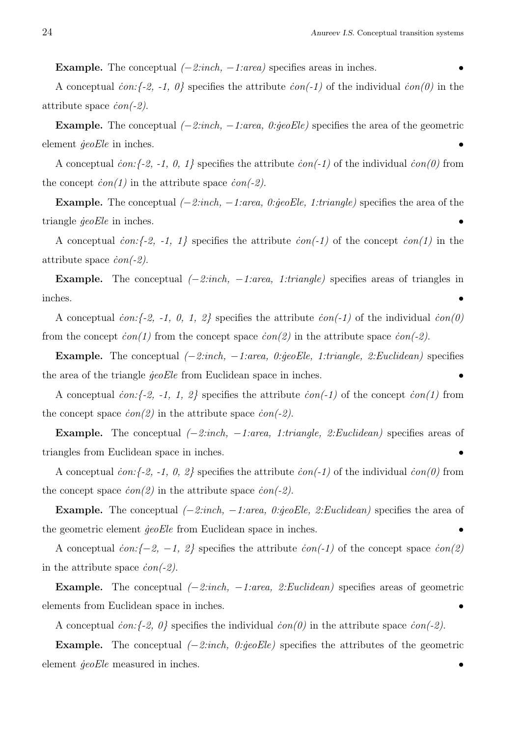Example. The conceptual *(−2:inch, −1:area)* specifies areas in inches. *•*

A conceptual *˙con:{-2, -1, 0}* specifies the attribute *˙con(-1)* of the individual *˙con(0)* in the attribute space *˙con(-2)*.

Example. The conceptual *(−2:inch, −1:area, 0:˙geoEle)* specifies the area of the geometric element  $\phi$ *eoEle* in inches.

A conceptual *˙con:{-2, -1, 0, 1}* specifies the attribute *˙con(-1)* of the individual *˙con(0)* from the concept  $\dot{con}(1)$  in the attribute space  $\dot{con}(-2)$ .

Example. The conceptual *(−2:inch, −1:area, 0:˙geoEle, 1:triangle)* specifies the area of the triangle *geoEle* in inches.

A conceptual *˙con:{-2, -1, 1}* specifies the attribute *˙con(-1)* of the concept *˙con(1)* in the attribute space *˙con(-2)*.

Example. The conceptual *(−2:inch, −1:area, 1:triangle)* specifies areas of triangles in inches. *•*

A conceptual *˙con:{-2, -1, 0, 1, 2}* specifies the attribute *˙con(-1)* of the individual *˙con(0)* from the concept *˙con(1)* from the concept space *˙con(2)* in the attribute space *˙con(-2)*.

Example. The conceptual *(−2:inch, −1:area, 0:˙geoEle, 1:triangle, 2:Euclidean)* specifies the area of the triangle *geoEle* from Euclidean space in inches.

A conceptual *˙con:{-2, -1, 1, 2}* specifies the attribute *˙con(-1)* of the concept *˙con(1)* from the concept space  $\dot{con}(2)$  in the attribute space  $\dot{con}(-2)$ .

Example. The conceptual *(−2:inch, −1:area, 1:triangle, 2:Euclidean)* specifies areas of triangles from Euclidean space in inches. *•*

A conceptual *˙con:{-2, -1, 0, 2}* specifies the attribute *˙con(-1)* of the individual *˙con(0)* from the concept space *˙con(2)* in the attribute space *˙con(-2)*.

Example. The conceptual *(−2:inch, −1:area, 0:˙geoEle, 2:Euclidean)* specifies the area of the geometric element *qeoEle* from Euclidean space in inches.

A conceptual *˙con:{−2, −1, 2}* specifies the attribute *˙con(-1)* of the concept space *˙con(2)* in the attribute space *˙con(-2)*.

Example. The conceptual *(−2:inch, −1:area, 2:Euclidean)* specifies areas of geometric elements from Euclidean space in inches. *•*

A conceptual *˙con:{-2, 0}* specifies the individual *˙con(0)* in the attribute space *˙con(-2)*.

Example. The conceptual *(−2:inch, 0:˙geoEle)* specifies the attributes of the geometric element  $\ddot{q}eoE$ *le* measured in inches.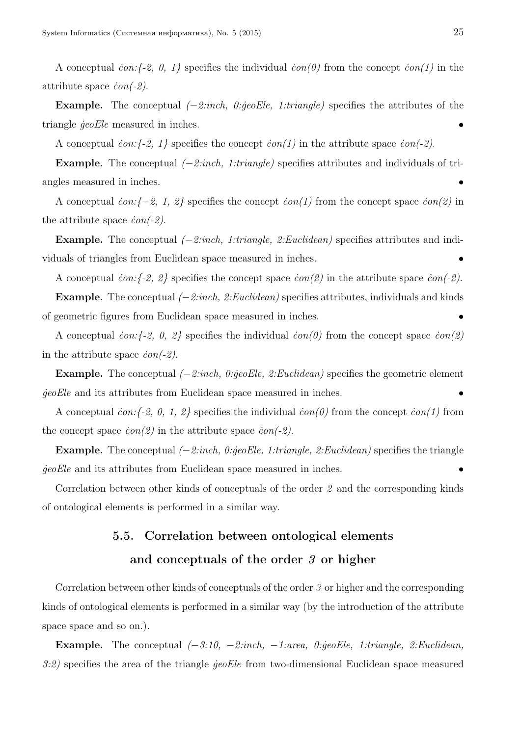A conceptual *˙con:{-2, 0, 1}* specifies the individual *˙con(0)* from the concept *˙con(1)* in the attribute space *˙con(-2)*.

Example. The conceptual *(−2:inch, 0:geoEle, 1:triangle)* specifies the attributes of the triangle  $\frac{g}{e}e$ *Ele* measured in inches.

A conceptual  $\text{con:} \{-2, 1\}$  specifies the concept  $\text{con}(1)$  in the attribute space  $\text{con}(-2)$ .

Example. The conceptual *(−2:inch, 1:triangle)* specifies attributes and individuals of triangles measured in inches. *•*

A conceptual *˙con:{−2, 1, 2}* specifies the concept *˙con(1)* from the concept space *˙con(2)* in the attribute space  $\dot{c}on(-2)$ .

Example. The conceptual *(−2:inch, 1:triangle, 2:Euclidean)* specifies attributes and individuals of triangles from Euclidean space measured in inches. *•*

A conceptual *˙con:{-2, 2}* specifies the concept space *˙con(2)* in the attribute space *˙con(-2)*.

Example. The conceptual *(−2:inch, 2:Euclidean)* specifies attributes, individuals and kinds of geometric figures from Euclidean space measured in inches. *•*

A conceptual *˙con:{-2, 0, 2}* specifies the individual *˙con(0)* from the concept space *˙con(2)* in the attribute space *˙con(-2)*.

Example. The conceptual *(−2:inch, 0:˙geoEle, 2:Euclidean)* specifies the geometric element *˙geoEle* and its attributes from Euclidean space measured in inches. *•*

A conceptual *˙con:{-2, 0, 1, 2}* specifies the individual *˙con(0)* from the concept *˙con(1)* from the concept space *˙con(2)* in the attribute space *˙con(-2)*.

Example. The conceptual *(−2:inch, 0:˙geoEle, 1:triangle, 2:Euclidean)* specifies the triangle *˙geoEle* and its attributes from Euclidean space measured in inches. *•*

Correlation between other kinds of conceptuals of the order *2* and the corresponding kinds of ontological elements is performed in a similar way.

## 5.5. Correlation between ontological elements and conceptuals of the order *3* or higher

Correlation between other kinds of conceptuals of the order *3* or higher and the corresponding kinds of ontological elements is performed in a similar way (by the introduction of the attribute space space and so on.).

Example. The conceptual *(−3:10, −2:inch, −1:area, 0:˙geoEle, 1:triangle, 2:Euclidean, 3:2)* specifies the area of the triangle *˙geoEle* from two-dimensional Euclidean space measured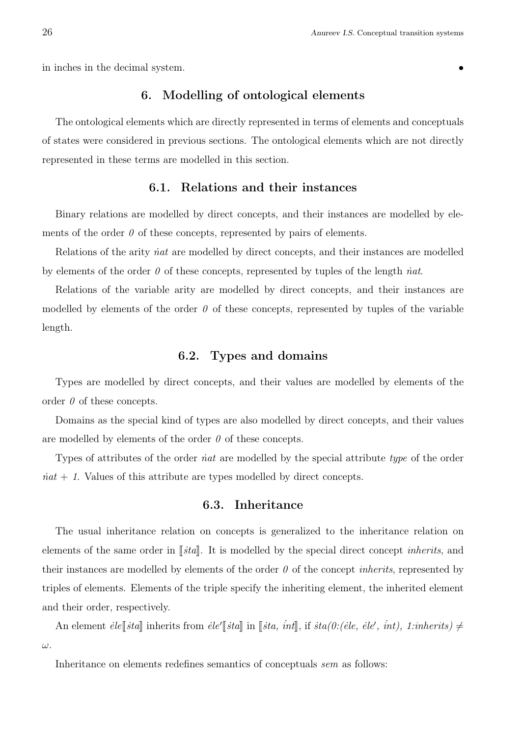in inches in the decimal system. **••** 

### 6. Modelling of ontological elements

The ontological elements which are directly represented in terms of elements and conceptuals of states were considered in previous sections. The ontological elements which are not directly represented in these terms are modelled in this section.

### 6.1. Relations and their instances

Binary relations are modelled by direct concepts, and their instances are modelled by elements of the order  $\theta$  of these concepts, represented by pairs of elements.

Relations of the arity *inat* are modelled by direct concepts, and their instances are modelled by elements of the order *0* of these concepts, represented by tuples of the length *˙nat*.

Relations of the variable arity are modelled by direct concepts, and their instances are modelled by elements of the order  $\theta$  of these concepts, represented by tuples of the variable length.

### 6.2. Types and domains

Types are modelled by direct concepts, and their values are modelled by elements of the order *0* of these concepts.

Domains as the special kind of types are also modelled by direct concepts, and their values are modelled by elements of the order *0* of these concepts.

Types of attributes of the order *˙nat* are modelled by the special attribute *type* of the order *. Values of this attribute are types modelled by direct concepts.* 

### 6.3. Inheritance

The usual inheritance relation on concepts is generalized to the inheritance relation on elements of the same order in [*sta*]. It is modelled by the special direct concept *inherits*, and their instances are modelled by elements of the order *0* of the concept *inherits*, represented by triples of elements. Elements of the triple specify the inheriting element, the inherited element and their order, respectively.

An element  $\text{e}^{\text{i}t}[ \text{d}^{\text{t}} \text{d}^{\text{t}} \text{d}^{\text{t}} \text{d}^{\text{t}} \text{d}^{\text{t}} \text{d}^{\text{t}} \text{d}^{\text{t}} \text{d}^{\text{t}} \text{d}^{\text{t}} \text{d}^{\text{t}} \text{d}^{\text{t}} \text{d}^{\text{t}} \text{d}^{\text{t}} \text{d}^{\text{t}} \text{d}^{\text{t}} \text{d}^{\text{t}} \text{d}^{\text{t}} \text{d}^{\text{t$ *ω*.

Inheritance on elements redefines semantics of conceptuals *sem* as follows: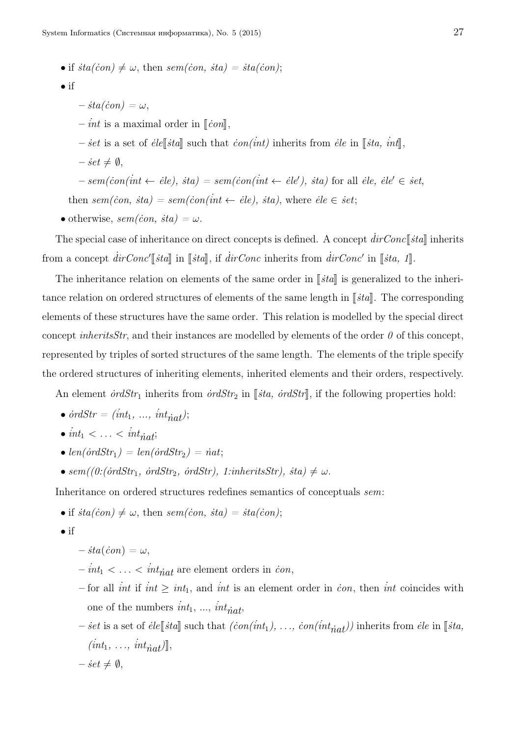- if  $sta(con) \neq \omega$ , then  $sem(con, sta) = sta(con);$
- if
- $-$ *i*sta(*con*) =  $\omega$ ,
- $\vec{i}$  *int* is a maximal order in  $\lbrack \lbrack \vec{c} \rbrack$ ,
- $\vec{r}$  is a set of *ele*<sup> $\lceil \frac{1}{2}$ </sup> such that *con(int)* inherits from *ele* in  $\lceil \frac{1}{2}$ , *int* $\lceil \frac{1}{2} \rceil$ ,
- $-$  *set*  $\neq \emptyset$ ,

$$
-sem (con(int \leftarrow ele), sta) = sem (con(int \leftarrow ele'), sta) for all ele, ele' \in set,
$$

then  $sem(con, sta) = sem(con(int \leftarrow ele), sta)$ , where  $ele \in set;$ 

• otherwise,  $sem(con, sta) = \omega$ .

The special case of inheritance on direct concepts is defined. A concept  $dirConc[[std]]$  inherits from a concept  $\text{dirConc}'[\![\text{std}]\!]$  in  $[\![\text{std}]\!]$ , if  $\text{dirConc}$  inherits from  $\text{dirConc}'$  in  $[\![\text{sta}, 1]\!]$ .

The inheritance relation on elements of the same order in  $\left|\int s\right|$  is generalized to the inheritance relation on ordered structures of elements of the same length in  $\lceil \frac{3}{4} \rceil$ . The corresponding elements of these structures have the same order. This relation is modelled by the special direct concept *inheritsStr*, and their instances are modelled by elements of the order  $\theta$  of this concept, represented by triples of sorted structures of the same length. The elements of the triple specify the ordered structures of inheriting elements, inherited elements and their orders, respectively.

An element  $\frac{\partial r}{\partial S}$  inherits from  $\frac{\partial r}{\partial S}$  in [ $\frac{\partial r}{\partial S}$ ,  $\frac{\partial r}{\partial S}$ , if the following properties hold:

- $\dot{or} dStr = (\dot{in}t_1, \ldots, \dot{in}t_{\dot{nat}});$
- $int_1 < \ldots < int_{nat}$ ;
- $len(ordStr_1) = len(ordStr_2) = init;$
- $sem((0:(\text{ordStr}_1, \text{ordStr}_2, \text{ordStr}), 1:\text{inheritsStr}),$   $\text{stab} \neq \omega$ .

Inheritance on ordered structures redefines semantics of conceptuals *sem*:

• if 
$$
sta(con) \neq \omega
$$
, then  $sem(con, sta) = sta(con);$ 

• if

$$
-\,\mathit{sta}(\mathit{con}) = \omega,
$$

- $-int_1 < \ldots < int_{\text{init}}$  are element orders in *con*,
- for all *int* if  $int \geq int_1$ , and *int* is an element order in *con*, then *int* coincides with one of the numbers  $int_1$ , ...,  $int_{nat}$ ,
- $\vec{r}$  is a set of *ėle*<sup>[</sup>*sta*] such that  $(\dot{con}(int_1), \ldots, \dot{con}(int_{nat}))$  inherits from *ėle* in [*sta*,  $(int_1, \ldots, \text{int}_{\text{nat}})$ ,
- $-$  *set*  $\neq \emptyset$ ,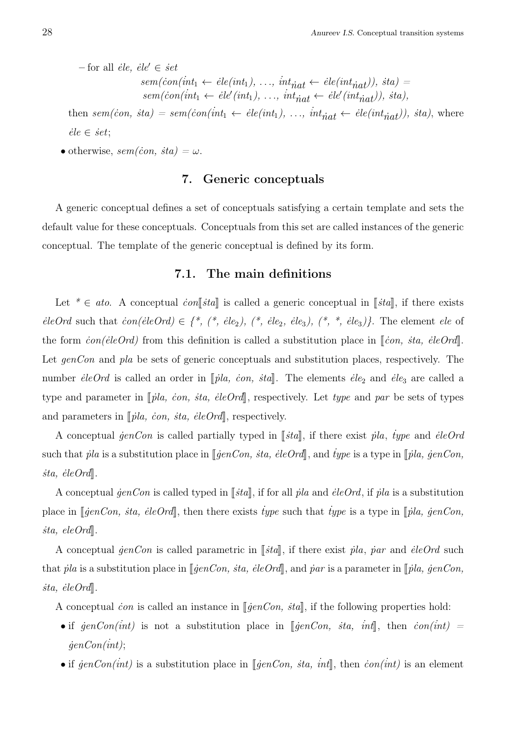$-$  for all *ėle*, *ėle*<sup> $\prime$ </sup>  $\in$   $\dot{se}$ *t*  $sem(con(int_1 \leftarrow \text{ele}(int_1), \ldots, \text{int}_{\text{nat}} \leftarrow \text{ele}(int_{\text{nat}})), \text{sta})$  $sem(con(int_1 \leftarrow \text{eile}'(int_1), \ldots, \text{int}_{\text{nat}} \leftarrow \text{eile}'(int_{\text{nat}})), \text{sta}),$ 

then  $sem(con, sta) = sem(con(int_1 \leftarrow ele(int_1), ..., int_{nat} \leftarrow ele(int_{nat})), sta)$ , where  $\dot{e}$ *le*  $\in$  *set*;

• otherwise,  $sem(con, sta) = \omega$ .

### 7. Generic conceptuals

A generic conceptual defines a set of conceptuals satisfying a certain template and sets the default value for these conceptuals. Conceptuals from this set are called instances of the generic conceptual. The template of the generic conceptual is defined by its form.

### 7.1. The main definitions

Let  $* \in ato$ . A conceptual *ion*[*sta*] is called a generic conceptual in [*sta*], if there exists  $\acute{e}$ *eleOrd* such that  $\acute{c}on(\acute{e}l\acute{e}Ord) \in \{*,(*,\acute{e}l\acute{e}_2),(*,\acute{e}l\acute{e}_3),(*,\ast,\acute{e}l\acute{e}_3)\}.$  The element  $\acute{e}l\acute{e}$  of the form  $\dot{con}(\dot{e}leOrd)$  from this definition is called a substitution place in  $\lbrack\dot{con}, \dot{se}leOrd\rbrack$ . Let *genCon* and *pla* be sets of generic conceptuals and substitution places, respectively. The number *ėleOrd* is called an order in [*pla, con, sta*]. The elements *ėle*<sub>2</sub> and *ėle*<sub>3</sub> are called a type and parameter in  $\llbracket \rho \rrbracket a$ , *ion, sta, eleOrd*, respectively. Let *type* and *par* be sets of types and parameters in  $\llbracket \rho \rbracket a$ , *con, sta, eleOrd*, respectively.

A conceptual  $\text{genCon}$  is called partially typed in [*sta*], if there exist *pla*, *type* and *eleOrd* such that *pla* is a substitution place in  $\llbracket \text{genCon, sta, eleOrd} \rrbracket$ , and *type* is a type in  $\llbracket \text{pla, genCon,}$  $\dot{a}$ *ita, ėle* $Ord\mathbb{R}$ *.* 

A conceptual  $\hat{g}enCon$  is called typed in  $\llbracket \hat{f} \rangle$ , if for all  $\hat{p} \mid a$  and  $\hat{e} \mid e \hat{O} \rangle$ , if  $\hat{p} \mid a$  is a substitution place in  $\llbracket$ *jenCon, sta, ėleOrd* $\rrbracket$ , then there exists *type* such that *type* is a type in  $\llbracket$ *pla, genCon,*  $\textit{sta}, \textit{eleOrd}$ .

A conceptual  $\phi$ *enCon* is called parametric in  $\left[\phi\right]$ , if there exist *pla*, *par* and *eleOrd* such that  $\ddot{p}$ *la* is a substitution place in  $\lbrack \lbrack \dot{q}enCon, sta, eleOrd \rbrack$ , and  $\ddot{p}ar$  is a parameter in  $\lbrack \lbrack \dot{p} \rbrack a, \dot{q}enCon,$  $\textit{sta}, \textit{eleOrd}\$ 

A conceptual *con* is called an instance in  $\llbracket \phi \in \mathbb{C}$  *on, sta*, if the following properties hold:

- if  $\phi = \phi \cdot \phi = \phi \cdot \phi$  is not a substitution place in  $\phi \cdot \phi = \phi \cdot \phi \cdot \phi$ , *int*, then  $\phi \cdot \phi = \phi \cdot \phi \cdot \phi$ . *˙genCon(˙int)*;
- if  $\phi$ *enCon(int)* is a substitution place in  $\phi$ *ienCon, ita, int*, then *con(int)* is an element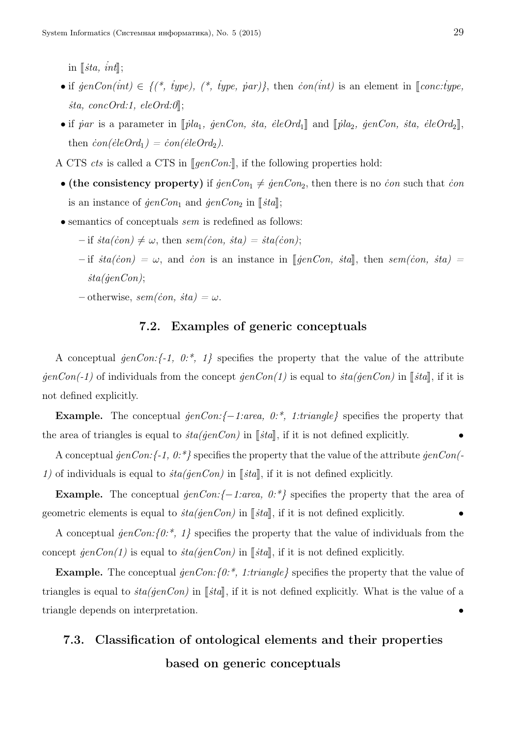in  $\left[$ *ista, int* $\right]$ ;

- if  $\phi = \{(\ast, \phi) \in \{(\ast, \phi) \mid (\ast, \phi) \in \phi \}$ ,  $(\ast, \phi) = \{(\ast, \phi) \mid (\ast, \phi) \in \phi \}$ , then  $\phi = \{(\ast, \phi) \mid (\ast, \phi) \in \phi \}$ *ista, concOrd:1, eleOrd:0*,
- if *˙par* is a parameter in <sup>J</sup> *˙pla*1*, ˙genCon, ˙sta, ˙eleOrd*<sup>1</sup><sup>K</sup> and <sup>J</sup> *˙pla*2*, ˙genCon, ˙sta, ˙eleOrd*<sup>2</sup>K, then  $\dot{con}(\dot{e}leOrd_1) = \dot{con}(\dot{e}leOrd_2)$ .
- A CTS *cts* is called a CTS in *[genCon:*], if the following properties hold:
- (the consistency property) if  $\text{genCon}_1 \neq \text{genCon}_2$ , then there is no *ion* such that *ion* is an instance of  $\mathcal{G}enCon_1$  and  $\mathcal{G}enCon_2$  in  $\llbracket \mathcal{S}ta \rrbracket$ ;
- semantics of conceptuals *sem* is redefined as follows:
	- $-$  if  $sta(con) \neq \omega$ , then  $sem(con, sta) = sta(con);$
	- $-i\mathbf{f}$  *i*sta(*con*) =  $\omega$ , and *con* is an instance in [*jenCon, ita*], then *sem(con, ita)* = *˙sta(˙genCon)*;
	- $-$  otherwise,  $sem(con, sta) = \omega$ .

### 7.2. Examples of generic conceptuals

A conceptual  $\text{genCon:} \{-1, 0, \cdot\}$ ,  $1\}$  specifies the property that the value of the attribute  $\frac{\partial}{\partial \theta}$  *individuals from the concept*  $\frac{\partial}{\partial n}$  *<i>con(1)* is equal to  $\frac{\partial}{\partial n}$  *i*  $\frac{\partial}{\partial n}$ , if it is not defined explicitly.

Example. The conceptual *˙genCon:{−1:area, 0:\*, 1:triangle}* specifies the property that the area of triangles is equal to  $sta(genCon)$  in  $\llbracket sta \rrbracket$ , if it is not defined explicitly.

A conceptual *˙genCon:{-1, 0:\*}* specifies the property that the value of the attribute *˙genCon(- 1)* of individuals is equal to  $sta(genCon)$  in [ $ceil$ , if it is not defined explicitly.

Example. The conceptual *˙genCon:{−1:area, 0:\*}* specifies the property that the area of geometric elements is equal to  $\frac{ia(jenCon)}{in}$  in  $\left[\frac{sta}{n}\right]$ , if it is not defined explicitly.

A conceptual  $\varphi \in \mathbb{R}^n$  *(0:\*, 1}* specifies the property that the value of individuals from the concept  $\hat{genCon}(1)$  is equal to  $\hat{sta}(\hat{genCon})$  in  $\lbrack \!\lbrack \hat{stat} \rbrack$ , if it is not defined explicitly.

Example. The conceptual  $\frac{\partial}{\partial t}$  for  $\frac{\partial}{\partial t}$ , 1:triangle specifies the property that the value of triangles is equal to  $sta(jenCon)$  in  $[[sta]]$ , if it is not defined explicitly. What is the value of a triangle depends on interpretation. *•*

## 7.3. Classification of ontological elements and their properties based on generic conceptuals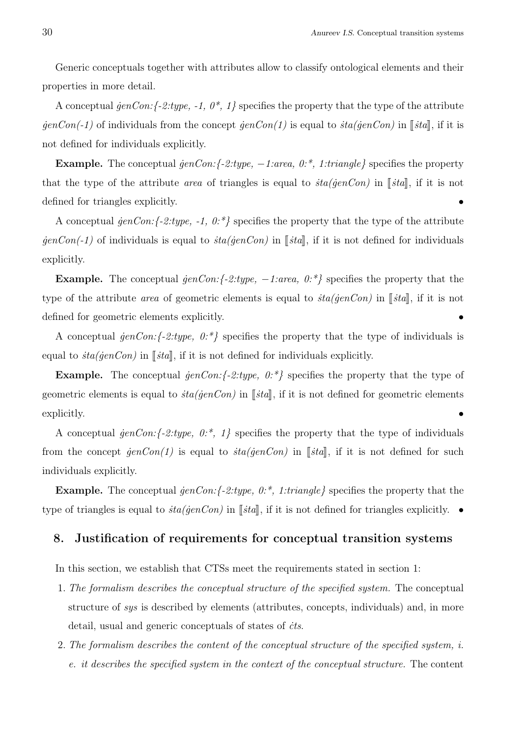Generic conceptuals together with attributes allow to classify ontological elements and their properties in more detail.

A conceptual  $\text{genCon:} \{-2:\text{type}, -1, 0^*, 1\}$  specifies the property that the type of the attribute  $\frac{\partial}{\partial \theta}$  *individuals from the concept*  $\frac{\partial}{\partial n}$  *(1)* is equal to  $\frac{\partial}{\partial n}$  *i*  $\frac{\partial}{\partial n}$ , if it is not defined for individuals explicitly.

Example. The conceptual *˙genCon:{-2:type, −1:area, 0:\*, 1:triangle}* specifies the property that the type of the attribute *area* of triangles is equal to  $sta(genCon)$  in [ $sta$ ], if it is not defined for triangles explicitly. *•*

A conceptual  $\text{genCon:} \{-2:\text{type}, -1, 0.^*\}$  specifies the property that the type of the attribute  $\frac{\partial}{\partial e}$  *individuals* is equal to  $\frac{\partial}{\partial e}$  *i*  $\frac{\partial}{\partial e}$ , if it is not defined for individuals explicitly.

Example. The conceptual *˙genCon:{-2:type, −1:area, 0:\*}* specifies the property that the type of the attribute *area* of geometric elements is equal to  $sta(jenCon)$  in  $\lceil sta\rceil$ , if it is not defined for geometric elements explicitly. *•*

A conceptual *˙genCon:{-2:type, 0:\*}* specifies the property that the type of individuals is equal to  $sta(genCon)$  in [ $sta$ ], if it is not defined for individuals explicitly.

**Example.** The conceptual *jenCon:*{-2:*type,*  $0:\mathbb{R}^2$ } specifies the property that the type of geometric elements is equal to  $sta(genCon)$  in  $[[sta]]$ , if it is not defined for geometric elements explicitly.  $\bullet$ 

A conceptual *˙genCon:{-2:type, 0:\*, 1}* specifies the property that the type of individuals from the concept  $\frac{\partial}{\partial n}(I)$  is equal to  $\frac{\partial}{\partial n}(I)$  in  $\left[\frac{\partial}{\partial n}(I)\right]$ , if it is not defined for such individuals explicitly.

**Example.** The conceptual *jenCon:*{-2:*type, 0:*<sup>\*</sup>, 1:*triangle*} specifies the property that the type of triangles is equal to  $sta(genCon)$  in  $\lceil \frac{3}{\pi}, \frac{3}{\pi} \rceil$ , if it is not defined for triangles explicitly.  $\bullet$ 

### 8. Justification of requirements for conceptual transition systems

In this section, we establish that CTSs meet the requirements stated in section 1:

- 1. *The formalism describes the conceptual structure of the specified system.* The conceptual structure of *sys* is described by elements (attributes, concepts, individuals) and, in more detail, usual and generic conceptuals of states of *˙cts*.
- 2. *The formalism describes the content of the conceptual structure of the specified system, i. e. it describes the specified system in the context of the conceptual structure.* The content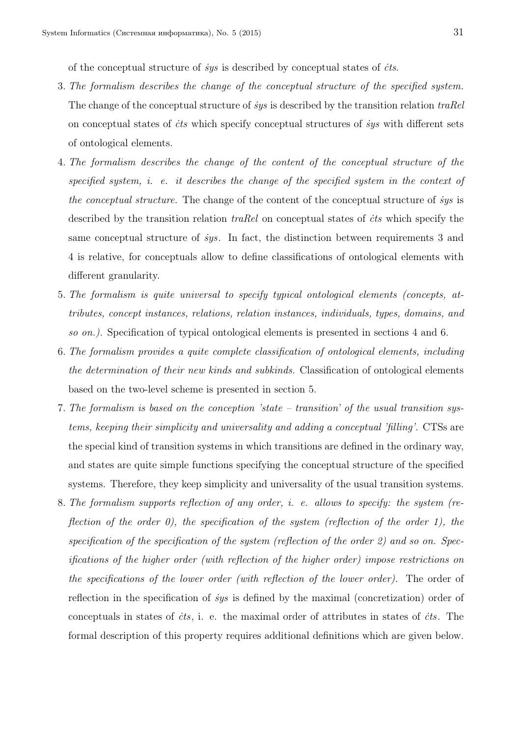of the conceptual structure of *˙sys* is described by conceptual states of *˙cts*.

- 3. *The formalism describes the change of the conceptual structure of the specified system.* The change of the conceptual structure of *˙sys* is described by the transition relation *traRel* on conceptual states of *˙cts* which specify conceptual structures of *˙sys* with different sets of ontological elements.
- 4. *The formalism describes the change of the content of the conceptual structure of the specified system, i. e. it describes the change of the specified system in the context of the conceptual structure.* The change of the content of the conceptual structure of *˙sys* is described by the transition relation *traRel* on conceptual states of *˙cts* which specify the same conceptual structure of *˙sys*. In fact, the distinction between requirements 3 and 4 is relative, for conceptuals allow to define classifications of ontological elements with different granularity.
- 5. *The formalism is quite universal to specify typical ontological elements (concepts, attributes, concept instances, relations, relation instances, individuals, types, domains, and so on.).* Specification of typical ontological elements is presented in sections 4 and 6.
- 6. *The formalism provides a quite complete classification of ontological elements, including the determination of their new kinds and subkinds.* Classification of ontological elements based on the two-level scheme is presented in section 5.
- 7. *The formalism is based on the conception 'state transition' of the usual transition systems, keeping their simplicity and universality and adding a conceptual 'filling'.* CTSs are the special kind of transition systems in which transitions are defined in the ordinary way, and states are quite simple functions specifying the conceptual structure of the specified systems. Therefore, they keep simplicity and universality of the usual transition systems.
- 8. *The formalism supports reflection of any order, i. e. allows to specify: the system (reflection of the order 0), the specification of the system (reflection of the order 1), the specification of the specification of the system (reflection of the order 2) and so on. Specifications of the higher order (with reflection of the higher order) impose restrictions on the specifications of the lower order (with reflection of the lower order).* The order of reflection in the specification of *˙sys* is defined by the maximal (concretization) order of conceptuals in states of *˙cts*, i. e. the maximal order of attributes in states of *˙cts*. The formal description of this property requires additional definitions which are given below.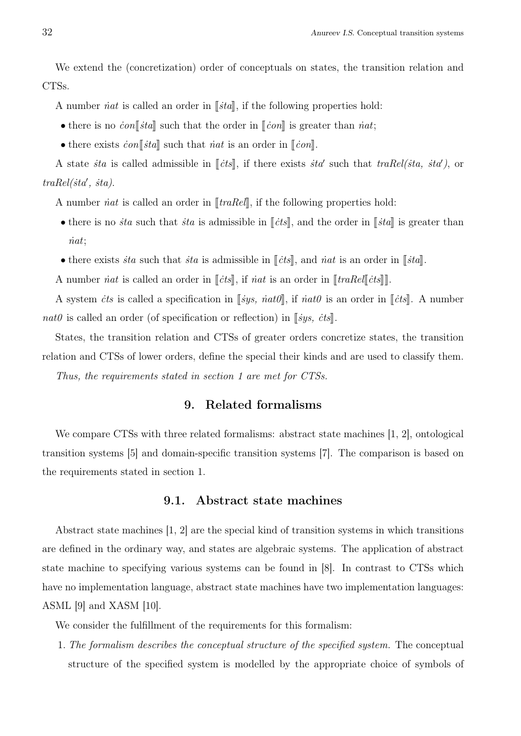We extend the (concretization) order of conceptuals on states, the transition relation and CTSs.

A number *int* is called an order in  $\lVert \xi \cdot \eta \rVert$ , if the following properties hold:

- there is no  $\con\llbracket \dot{t}a \rrbracket$  such that the order in  $\llbracket \dot{c}on \rrbracket$  is greater than *inat*;
- there exists  $\dot{c}on\llbracket \dot{t}a \rrbracket$  such that *iat* is an order in  $\llbracket \dot{c}on \rrbracket$ .

A state *ita* is called admissible in  $[[\textit{cts}]],$  if there exists *ita'* such that  $\textit{traRel}(\textit{ita}, \textit{ita}'),$  or *traRel(˙sta′ , ˙sta)*.

A number *iat* is called an order in  $\Vert \text{traRel} \Vert$ , if the following properties hold:

- there is no *sta* such that *sta* is admissible in  $\lVert \dot{c} \cdot t \cdot s \rVert$ , and the order in  $\lVert \dot{s} \cdot t \cdot s \rVert$  is greater than *˙nat*;
- there exists *ita* such that *ita* is admissible in  $\Vert$ *its* $\Vert$ , and *iat* is an order in  $\Vert$ *ita* $\Vert$ .

A number *inat* is called an order in  $\lbrack \lbrack \dot{c} \rbrack$ , if *inat* is an order in  $\lbrack \lbrack \lbrack \dot{c} \rbrack \rbrack$ .

A system *its* is called a specification in  $\lbrack \lbrack sys, \dot{nat0} \rbrack$ , if  $\dot{nat0}$  is an order in  $\lbrack \lbrack \dot{cts} \rbrack$ . A number *nat0* is called an order (of specification or reflection) in  $\lceil \frac{sys}{s} \cdot \frac{cts}{s} \rceil$ .

States, the transition relation and CTSs of greater orders concretize states, the transition relation and CTSs of lower orders, define the special their kinds and are used to classify them.

*Thus, the requirements stated in section 1 are met for CTSs.*

### 9. Related formalisms

We compare CTSs with three related formalisms: abstract state machines [1, 2], ontological transition systems [5] and domain-specific transition systems [7]. The comparison is based on the requirements stated in section 1.

### 9.1. Abstract state machines

Abstract state machines [1, 2] are the special kind of transition systems in which transitions are defined in the ordinary way, and states are algebraic systems. The application of abstract state machine to specifying various systems can be found in [8]. In contrast to CTSs which have no implementation language, abstract state machines have two implementation languages: ASML [9] and XASM [10].

We consider the fulfillment of the requirements for this formalism:

1. *The formalism describes the conceptual structure of the specified system.* The conceptual structure of the specified system is modelled by the appropriate choice of symbols of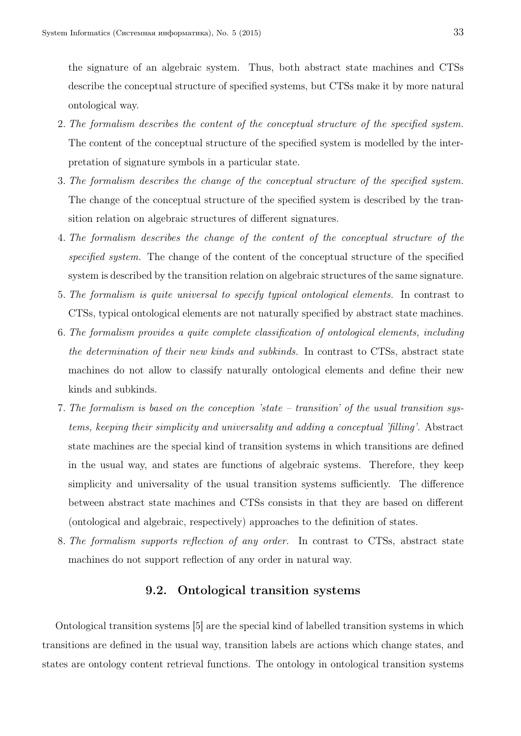the signature of an algebraic system. Thus, both abstract state machines and CTSs describe the conceptual structure of specified systems, but CTSs make it by more natural ontological way.

- 2. *The formalism describes the content of the conceptual structure of the specified system.* The content of the conceptual structure of the specified system is modelled by the interpretation of signature symbols in a particular state.
- 3. *The formalism describes the change of the conceptual structure of the specified system.* The change of the conceptual structure of the specified system is described by the transition relation on algebraic structures of different signatures.
- 4. *The formalism describes the change of the content of the conceptual structure of the specified system.* The change of the content of the conceptual structure of the specified system is described by the transition relation on algebraic structures of the same signature.
- 5. *The formalism is quite universal to specify typical ontological elements.* In contrast to CTSs, typical ontological elements are not naturally specified by abstract state machines.
- 6. *The formalism provides a quite complete classification of ontological elements, including the determination of their new kinds and subkinds.* In contrast to CTSs, abstract state machines do not allow to classify naturally ontological elements and define their new kinds and subkinds.
- 7. *The formalism is based on the conception 'state transition' of the usual transition systems, keeping their simplicity and universality and adding a conceptual 'filling'.* Abstract state machines are the special kind of transition systems in which transitions are defined in the usual way, and states are functions of algebraic systems. Therefore, they keep simplicity and universality of the usual transition systems sufficiently. The difference between abstract state machines and CTSs consists in that they are based on different (ontological and algebraic, respectively) approaches to the definition of states.
- 8. *The formalism supports reflection of any order.* In contrast to CTSs, abstract state machines do not support reflection of any order in natural way.

### 9.2. Ontological transition systems

Ontological transition systems [5] are the special kind of labelled transition systems in which transitions are defined in the usual way, transition labels are actions which change states, and states are ontology content retrieval functions. The ontology in ontological transition systems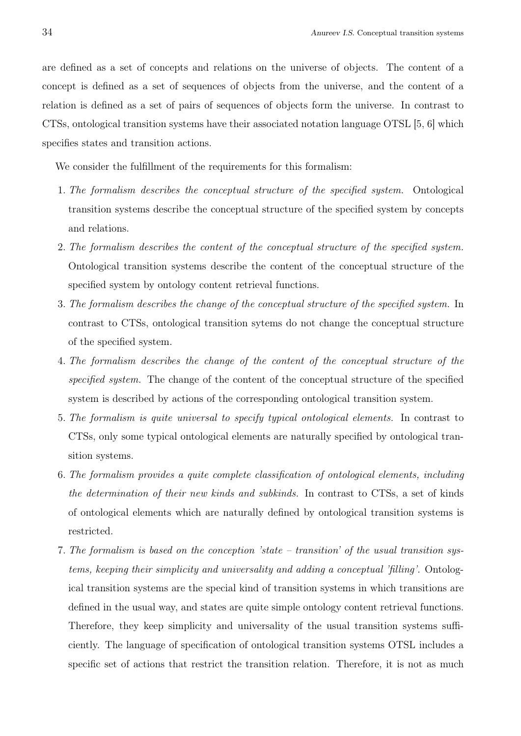are defined as a set of concepts and relations on the universe of objects. The content of a concept is defined as a set of sequences of objects from the universe, and the content of a relation is defined as a set of pairs of sequences of objects form the universe. In contrast to CTSs, ontological transition systems have their associated notation language OTSL [5, 6] which specifies states and transition actions.

We consider the fulfillment of the requirements for this formalism:

- 1. *The formalism describes the conceptual structure of the specified system.* Ontological transition systems describe the conceptual structure of the specified system by concepts and relations.
- 2. *The formalism describes the content of the conceptual structure of the specified system.* Ontological transition systems describe the content of the conceptual structure of the specified system by ontology content retrieval functions.
- 3. *The formalism describes the change of the conceptual structure of the specified system.* In contrast to CTSs, ontological transition sytems do not change the conceptual structure of the specified system.
- 4. *The formalism describes the change of the content of the conceptual structure of the specified system.* The change of the content of the conceptual structure of the specified system is described by actions of the corresponding ontological transition system.
- 5. *The formalism is quite universal to specify typical ontological elements.* In contrast to CTSs, only some typical ontological elements are naturally specified by ontological transition systems.
- 6. *The formalism provides a quite complete classification of ontological elements, including the determination of their new kinds and subkinds.* In contrast to CTSs, a set of kinds of ontological elements which are naturally defined by ontological transition systems is restricted.
- 7. *The formalism is based on the conception 'state transition' of the usual transition systems, keeping their simplicity and universality and adding a conceptual 'filling'.* Ontological transition systems are the special kind of transition systems in which transitions are defined in the usual way, and states are quite simple ontology content retrieval functions. Therefore, they keep simplicity and universality of the usual transition systems sufficiently. The language of specification of ontological transition systems OTSL includes a specific set of actions that restrict the transition relation. Therefore, it is not as much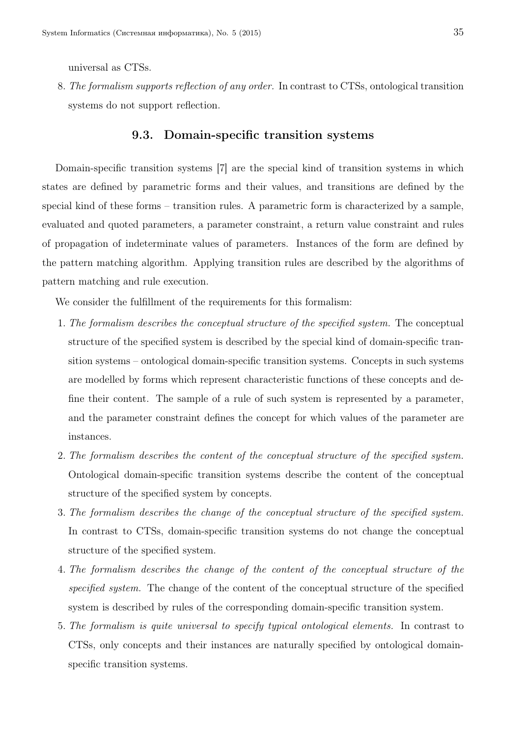universal as CTSs.

8. *The formalism supports reflection of any order.* In contrast to CTSs, ontological transition systems do not support reflection.

### 9.3. Domain-specific transition systems

Domain-specific transition systems [7] are the special kind of transition systems in which states are defined by parametric forms and their values, and transitions are defined by the special kind of these forms – transition rules. A parametric form is characterized by a sample, evaluated and quoted parameters, a parameter constraint, a return value constraint and rules of propagation of indeterminate values of parameters. Instances of the form are defined by the pattern matching algorithm. Applying transition rules are described by the algorithms of pattern matching and rule execution.

We consider the fulfillment of the requirements for this formalism:

- 1. *The formalism describes the conceptual structure of the specified system.* The conceptual structure of the specified system is described by the special kind of domain-specific transition systems – ontological domain-specific transition systems. Concepts in such systems are modelled by forms which represent characteristic functions of these concepts and define their content. The sample of a rule of such system is represented by a parameter, and the parameter constraint defines the concept for which values of the parameter are instances.
- 2. *The formalism describes the content of the conceptual structure of the specified system.* Ontological domain-specific transition systems describe the content of the conceptual structure of the specified system by concepts.
- 3. *The formalism describes the change of the conceptual structure of the specified system.* In contrast to CTSs, domain-specific transition systems do not change the conceptual structure of the specified system.
- 4. *The formalism describes the change of the content of the conceptual structure of the specified system.* The change of the content of the conceptual structure of the specified system is described by rules of the corresponding domain-specific transition system.
- 5. *The formalism is quite universal to specify typical ontological elements.* In contrast to CTSs, only concepts and their instances are naturally specified by ontological domainspecific transition systems.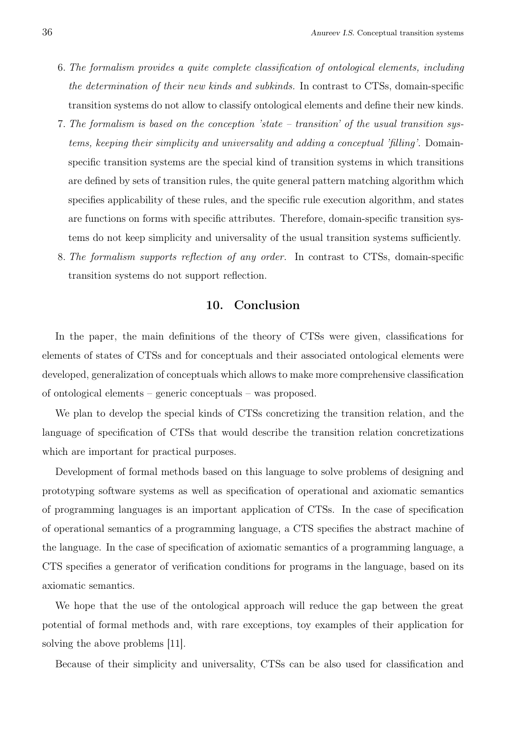- 6. *The formalism provides a quite complete classification of ontological elements, including the determination of their new kinds and subkinds.* In contrast to CTSs, domain-specific transition systems do not allow to classify ontological elements and define their new kinds.
- 7. *The formalism is based on the conception 'state transition' of the usual transition systems, keeping their simplicity and universality and adding a conceptual 'filling'.* Domainspecific transition systems are the special kind of transition systems in which transitions are defined by sets of transition rules, the quite general pattern matching algorithm which specifies applicability of these rules, and the specific rule execution algorithm, and states are functions on forms with specific attributes. Therefore, domain-specific transition systems do not keep simplicity and universality of the usual transition systems sufficiently.
- 8. *The formalism supports reflection of any order.* In contrast to CTSs, domain-specific transition systems do not support reflection.

### 10. Conclusion

In the paper, the main definitions of the theory of CTSs were given, classifications for elements of states of CTSs and for conceptuals and their associated ontological elements were developed, generalization of conceptuals which allows to make more comprehensive classification of ontological elements – generic conceptuals – was proposed.

We plan to develop the special kinds of CTSs concretizing the transition relation, and the language of specification of CTSs that would describe the transition relation concretizations which are important for practical purposes.

Development of formal methods based on this language to solve problems of designing and prototyping software systems as well as specification of operational and axiomatic semantics of programming languages is an important application of CTSs. In the case of specification of operational semantics of a programming language, a CTS specifies the abstract machine of the language. In the case of specification of axiomatic semantics of a programming language, a CTS specifies a generator of verification conditions for programs in the language, based on its axiomatic semantics.

We hope that the use of the ontological approach will reduce the gap between the great potential of formal methods and, with rare exceptions, toy examples of their application for solving the above problems [11].

Because of their simplicity and universality, CTSs can be also used for classification and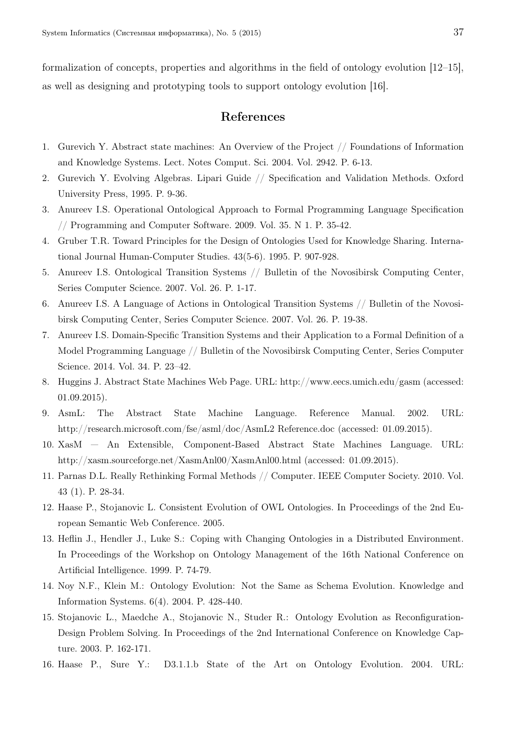formalization of concepts, properties and algorithms in the field of ontology evolution [12–15], as well as designing and prototyping tools to support ontology evolution [16].

### References

- 1. Gurevich Y. Abstract state machines: An Overview of the Project // Foundations of Information and Knowledge Systems. Lect. Notes Comput. Sci. 2004. Vol. 2942. P. 6-13.
- 2. Gurevich Y. Evolving Algebras. Lipari Guide // Specification and Validation Methods. Oxford University Press, 1995. P. 9-36.
- 3. Anureev I.S. Operational Ontological Approach to Formal Programming Language Specification // Programming and Computer Software. 2009. Vol. 35. N 1. P. 35-42.
- 4. Gruber T.R. Toward Principles for the Design of Ontologies Used for Knowledge Sharing. International Journal Human-Computer Studies. 43(5-6). 1995. P. 907-928.
- 5. Anureev I.S. Ontological Transition Systems // Bulletin of the Novosibirsk Computing Center, Series Computer Science. 2007. Vol. 26. P. 1-17.
- 6. Anureev I.S. A Language of Actions in Ontological Transition Systems // Bulletin of the Novosibirsk Computing Center, Series Computer Science. 2007. Vol. 26. P. 19-38.
- 7. Anureev I.S. Domain-Specific Transition Systems and their Application to a Formal Definition of a Model Programming Language // Bulletin of the Novosibirsk Computing Center, Series Computer Science. 2014. Vol. 34. P. 23–42.
- 8. Huggins J. Abstract State Machines Web Page. URL: http://www.eecs.umich.edu/gasm (accessed: 01.09.2015).
- 9. AsmL: The Abstract State Machine Language. Reference Manual. 2002. URL: http://research.microsoft.com/fse/asml/doc/AsmL2 Reference.doc (accessed: 01.09.2015).
- 10. XasM An Extensible, Component-Based Abstract State Machines Language. URL: http://xasm.sourceforge.net/XasmAnl00/XasmAnl00.html (accessed: 01.09.2015).
- 11. Parnas D.L. Really Rethinking Formal Methods // Computer. IEEE Computer Society. 2010. Vol. 43 (1). P. 28-34.
- 12. Haase P., Stojanovic L. Consistent Evolution of OWL Ontologies. In Proceedings of the 2nd European Semantic Web Conference. 2005.
- 13. Heflin J., Hendler J., Luke S.: Coping with Changing Ontologies in a Distributed Environment. In Proceedings of the Workshop on Ontology Management of the 16th National Conference on Artificial Intelligence. 1999. P. 74-79.
- 14. Noy N.F., Klein M.: Ontology Evolution: Not the Same as Schema Evolution. Knowledge and Information Systems. 6(4). 2004. P. 428-440.
- 15. Stojanovic L., Maedche A., Stojanovic N., Studer R.: Ontology Evolution as Reconfiguration-Design Problem Solving. In Proceedings of the 2nd International Conference on Knowledge Capture. 2003. P. 162-171.
- 16. Haase P., Sure Y.: D3.1.1.b State of the Art on Ontology Evolution. 2004. URL: